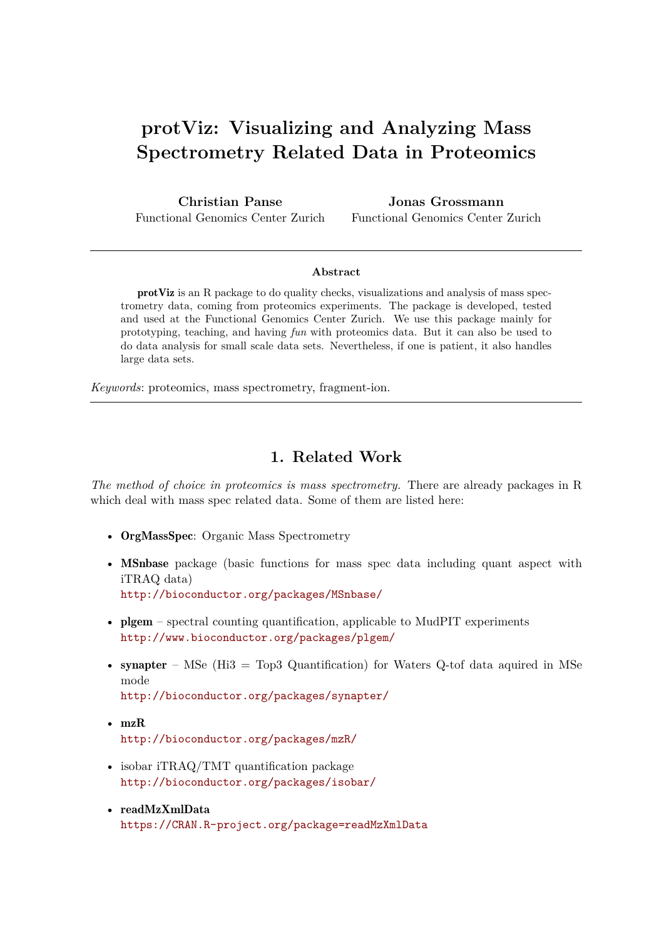# **protViz: Visualizing and Analyzing Mass Spectrometry Related Data in Proteomics**

**Christian Panse** Functional Genomics Center Zurich

**Jonas Grossmann** Functional Genomics Center Zurich

#### **Abstract**

protViz is an R package to do quality checks, visualizations and analysis of mass spectrometry data, coming from proteomics experiments. The package is developed, tested and used at the Functional Genomics Center Zurich. We use this package mainly for prototyping, teaching, and having *fun* with proteomics data. But it can also be used to do data analysis for small scale data sets. Nevertheless, if one is patient, it also handles large data sets.

*Keywords*: proteomics, mass spectrometry, fragment-ion.

## **1. Related Work**

*The method of choice in proteomics is mass spectrometry.* There are already packages in R which deal with mass spec related data. Some of them are listed here:

- OrgMassSpec: Organic Mass Spectrometry
- MSnbase package (basic functions for mass spec data including quant aspect with iTRAQ data) <http://bioconductor.org/packages/MSnbase/>
- plgem spectral counting quantification, applicable to MudPIT experiments <http://www.bioconductor.org/packages/plgem/>
- synapter MSe (Hi3 = Top3 Quantification) for Waters Q-tof data aquired in MSe mode <http://bioconductor.org/packages/synapter/>
- mzR <http://bioconductor.org/packages/mzR/>
- isobar iTRAQ/TMT quantification package <http://bioconductor.org/packages/isobar/>
- readMzXmlData <https://CRAN.R-project.org/package=readMzXmlData>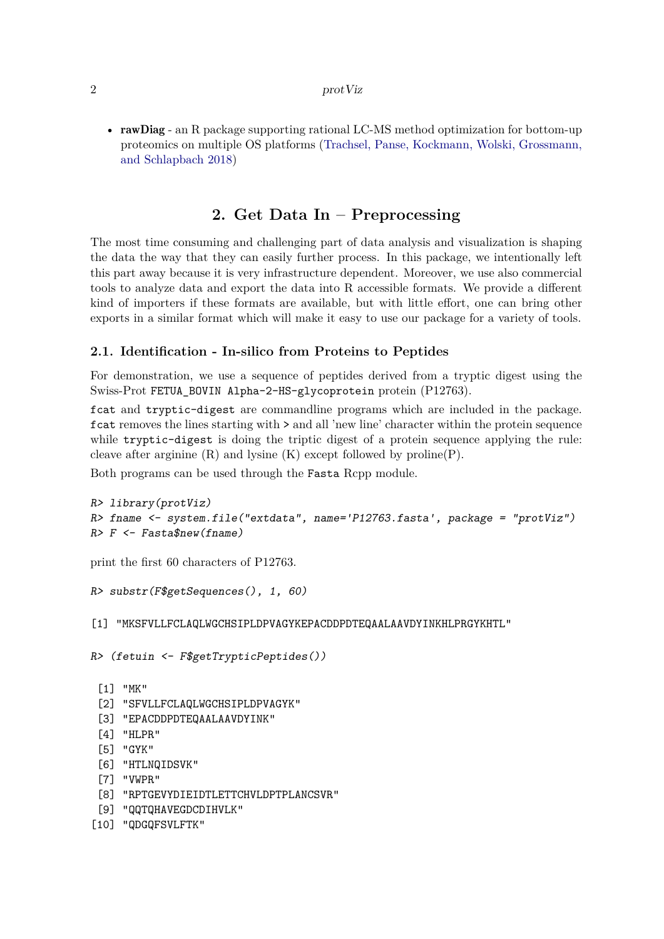#### 2 protViz

• rawDiag - an R package supporting rational LC-MS method optimization for bottom-up proteomics on multiple OS platforms [\(Trachsel, Panse, Kockmann, Wolski, Grossmann,](#page-27-0) [and Schlapbach 2018\)](#page-27-0)

# **2. Get Data In – Preprocessing**

The most time consuming and challenging part of data analysis and visualization is shaping the data the way that they can easily further process. In this package, we intentionally left this part away because it is very infrastructure dependent. Moreover, we use also commercial tools to analyze data and export the data into R accessible formats. We provide a different kind of importers if these formats are available, but with little effort, one can bring other exports in a similar format which will make it easy to use our package for a variety of tools.

#### **2.1. Identification - In-silico from Proteins to Peptides**

For demonstration, we use a sequence of peptides derived from a tryptic digest using the Swiss-Prot FETUA\_BOVIN Alpha-2-HS-glycoprotein protein (P12763).

fcat and tryptic-digest are commandline programs which are included in the package. fcat removes the lines starting with > and all 'new line' character within the protein sequence while tryptic-digest is doing the triptic digest of a protein sequence applying the rule: cleave after arginine  $(R)$  and lysine  $(K)$  except followed by proline $(P)$ .

Both programs can be used through the Fasta Rcpp module.

```
R> library(protViz)
R> fname <- system.file("extdata", name='P12763.fasta', package = "protViz")
R> F <- Fasta$new(fname)
```
print the first 60 characters of P12763.

```
R> substr(F$getSequences(), 1, 60)
```
[1] "MKSFVLLFCLAQLWGCHSIPLDPVAGYKEPACDDPDTEQAALAAVDYINKHLPRGYKHTL"

```
R> (fetuin <- F$getTrypticPeptides())
```

```
[1] "MK"
```
- [2] "SFVLLFCLAQLWGCHSIPLDPVAGYK"
- [3] "EPACDDPDTEQAALAAVDYINK"
- [4] "HLPR"
- [5] "GYK"
- [6] "HTLNQIDSVK"
- [7] "VWPR"
- [8] "RPTGEVYDIEIDTLETTCHVLDPTPLANCSVR"
- [9] "QQTQHAVEGDCDIHVLK"
- [10] "QDGQFSVLFTK"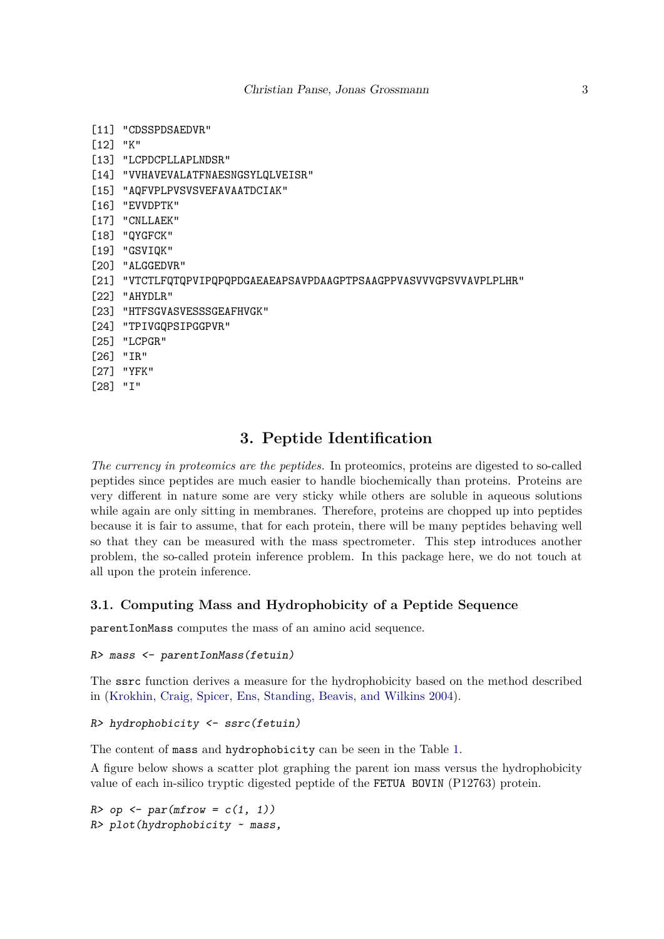- [11] "CDSSPDSAEDVR"
- [12] "K"
- [13] "LCPDCPLLAPLNDSR"
- [14] "VVHAVEVALATFNAESNGSYLQLVEISR"
- [15] "AQFVPLPVSVSVEFAVAATDCIAK"
- [16] "EVVDPTK"
- [17] "CNLLAEK"
- [18] "QYGFCK"
- [19] "GSVIQK"
- [20] "ALGGEDVR"
- [21] "VTCTLFQTQPVIPQPQPDGAEAEAPSAVPDAAGPTPSAAGPPVASVVVGPSVVAVPLPLHR"
- [22] "AHYDLR"
- [23] "HTFSGVASVESSSGEAFHVGK"
- [24] "TPIVGQPSIPGGPVR"
- [25] "LCPGR"
- [26] "IR"
- [27] "YFK"
- [28] "I"

## **3. Peptide Identification**

*The currency in proteomics are the peptides.* In proteomics, proteins are digested to so-called peptides since peptides are much easier to handle biochemically than proteins. Proteins are very different in nature some are very sticky while others are soluble in aqueous solutions while again are only sitting in membranes. Therefore, proteins are chopped up into peptides because it is fair to assume, that for each protein, there will be many peptides behaving well so that they can be measured with the mass spectrometer. This step introduces another problem, the so-called protein inference problem. In this package here, we do not touch at all upon the protein inference.

## **3.1. Computing Mass and Hydrophobicity of a Peptide Sequence**

parentIonMass computes the mass of an amino acid sequence.

```
R> mass <- parentIonMass(fetuin)
```
The ssrc function derives a measure for the hydrophobicity based on the method described in [\(Krokhin, Craig, Spicer, Ens, Standing, Beavis, and Wilkins 2004\)](#page-27-1).

```
R> hydrophobicity <- ssrc(fetuin)
```
The content of mass and hydrophobicity can be seen in the Table [1.](#page-3-0)

A figure below shows a scatter plot graphing the parent ion mass versus the hydrophobicity value of each in-silico tryptic digested peptide of the FETUA BOVIN (P12763) protein.

*R> op <- par(mfrow = c(1, 1)) R> plot(hydrophobicity ~ mass,*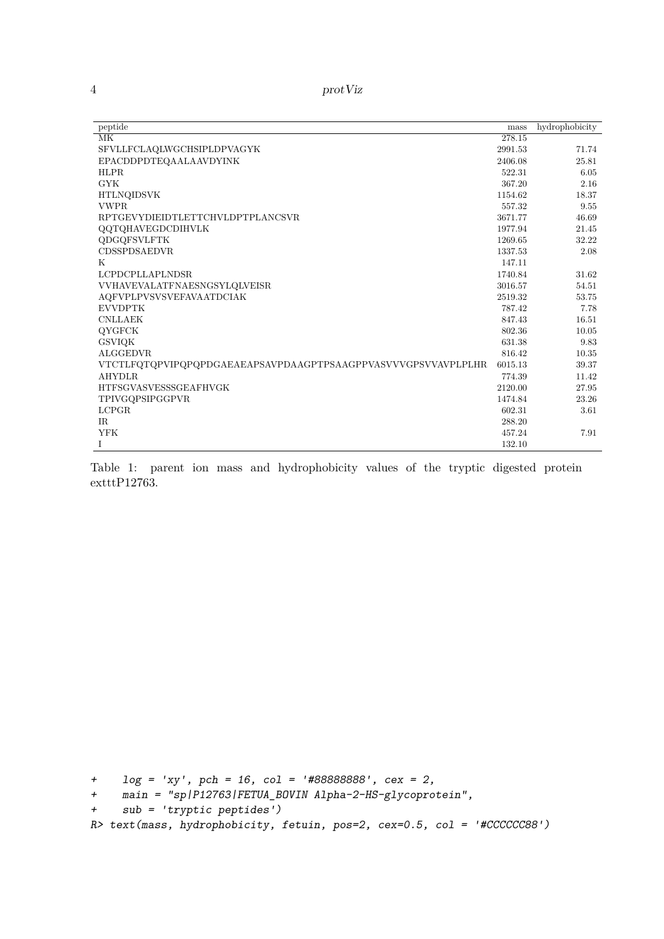4 protViz

| peptide                                                       | mass    | hydrophobicity |
|---------------------------------------------------------------|---------|----------------|
| $\overline{\text{MK}}$                                        | 278.15  |                |
| SFVLLFCLAQLWGCHSIPLDPVAGYK                                    | 2991.53 | 71.74          |
| EPACDDPDTEOAALAAVDYINK                                        | 2406.08 | 25.81          |
| <b>HLPR</b>                                                   | 522.31  | 6.05           |
| <b>GYK</b>                                                    | 367.20  | 2.16           |
| <b>HTLNQIDSVK</b>                                             | 1154.62 | 18.37          |
| <b>VWPR</b>                                                   | 557.32  | 9.55           |
| RPTGEVYDIEIDTLETTCHVLDPTPLANCSVR                              | 3671.77 | 46.69          |
| <b>QQTQHAVEGDCDIHVLK</b>                                      | 1977.94 | 21.45          |
| <b>QDGQFSVLFTK</b>                                            | 1269.65 | 32.22          |
| <b>CDSSPDSAEDVR</b>                                           | 1337.53 | 2.08           |
| K                                                             | 147.11  |                |
| <b>LCPDCPLLAPLNDSR</b>                                        | 1740.84 | 31.62          |
| VVHAVEVALATFNAESNGSYLQLVEISR                                  | 3016.57 | 54.51          |
| <b>AQFVPLPVSVSVEFAVAATDCIAK</b>                               | 2519.32 | 53.75          |
| <b>EVVDPTK</b>                                                | 787.42  | 7.78           |
| <b>CNLLAEK</b>                                                | 847.43  | 16.51          |
| <b>OYGFCK</b>                                                 | 802.36  | 10.05          |
| <b>GSVIOK</b>                                                 | 631.38  | 9.83           |
| <b>ALGGEDVR</b>                                               | 816.42  | 10.35          |
| VTCTLFQTQPVIPQPQPDGAEAEAPSAVPDAAGPTPSAAGPPVASVVVGPSVVAVPLPLHR | 6015.13 | 39.37          |
| <b>AHYDLR</b>                                                 | 774.39  | 11.42          |
| <b>HTFSGVASVESSSGEAFHVGK</b>                                  | 2120.00 | 27.95          |
| TPIVGQPSIPGGPVR                                               | 1474.84 | 23.26          |
| <b>LCPGR</b>                                                  | 602.31  | 3.61           |
| IR.                                                           | 288.20  |                |
| <b>YFK</b>                                                    | 457.24  | 7.91           |
| I                                                             | 132.10  |                |

<span id="page-3-0"></span>Table 1: parent ion mass and hydrophobicity values of the tryptic digested protein  $extttP12763.$ 

*+ log =* '*xy*'*, pch = 16, col =* '*#88888888*'*, cex = 2,*

```
+ main = "sp|P12763|FETUA_BOVIN Alpha-2-HS-glycoprotein",
```

```
+ sub = 'tryptic peptides')
```

```
R> text(mass, hydrophobicity, fetuin, pos=2, cex=0.5, col = '#CCCCCC88')
```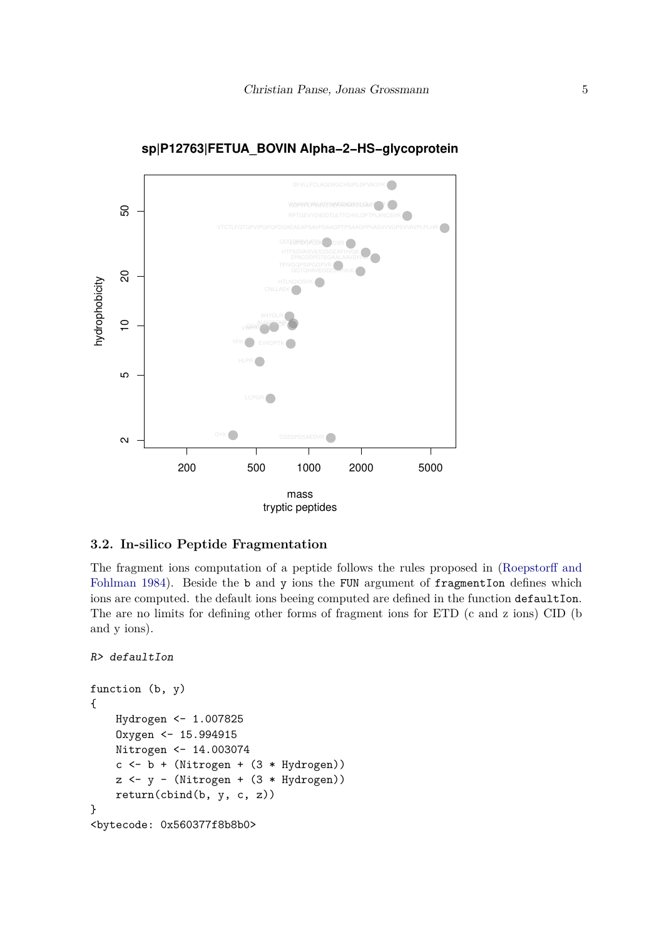

#### **sp|P12763|FETUA\_BOVIN Alpha−2−HS−glycoprotein**

**3.2. In-silico Peptide Fragmentation**

The fragment ions computation of a peptide follows the rules proposed in [\(Roepstorff and](#page-27-2) [Fohlman 1984\)](#page-27-2). Beside the b and y ions the FUN argument of fragmentIon defines which ions are computed. the default ions beeing computed are defined in the function defaultIon. The are no limits for defining other forms of fragment ions for ETD (c and z ions) CID (b and y ions).

```
R> defaultIon
```

```
function (b, y)
{
    Hydrogen <- 1.007825
    Oxygen <- 15.994915
    Nitrogen <- 14.003074
    c <- b + (Nitrogen + (3 * Hydrogen))
    z \leftarrow y - (Nitrogen + (3 * Hydrogen))return(cbind(b, y, c, z))
}
<bytecode: 0x560377f8b8b0>
```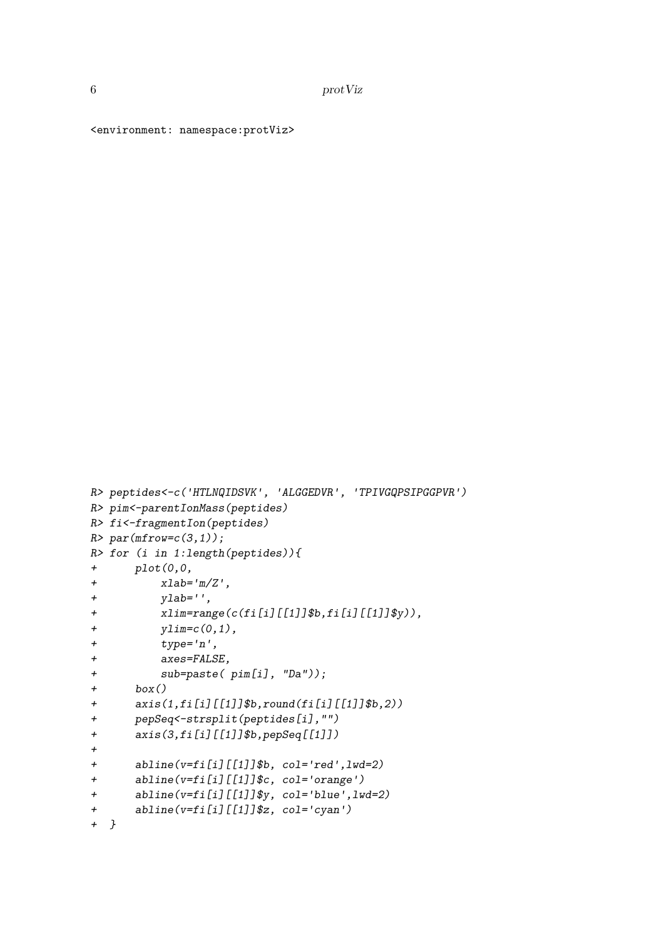<environment: namespace:protViz>

```
R> peptides<-c('HTLNQIDSVK', 'ALGGEDVR', 'TPIVGQPSIPGGPVR')
R> pim<-parentIonMass(peptides)
R> fi<-fragmentIon(peptides)
R> par(mfrow=c(3,1));
R> for (i in 1:length(peptides)){
+ plot(0,0,
+ xlab='m/Z',
+ ylab='',
+ xlim=range(c(fi[i][[1]]$b,fi[i][[1]]$y)),
+ ylim=c(0,1),
+ type='n',
+ axes=FALSE,
+ sub=paste( pim[i], "Da"));
+ box()
+ axis(1,fi[i][[1]]$b,round(fi[i][[1]]$b,2))
+ pepSeq<-strsplit(peptides[i],"")
+ axis(3,fi[i][[1]]$b,pepSeq[[1]])
+
+ abline(v=fi[i][[1]]$b, col='red',lwd=2)
+ abline(v=fi[i][[1]]$c, col='orange')
+ abline(v=fi[i][[1]]$y, col='blue',lwd=2)
+ abline(v=fi[i][[1]]$z, col='cyan')
+ }
```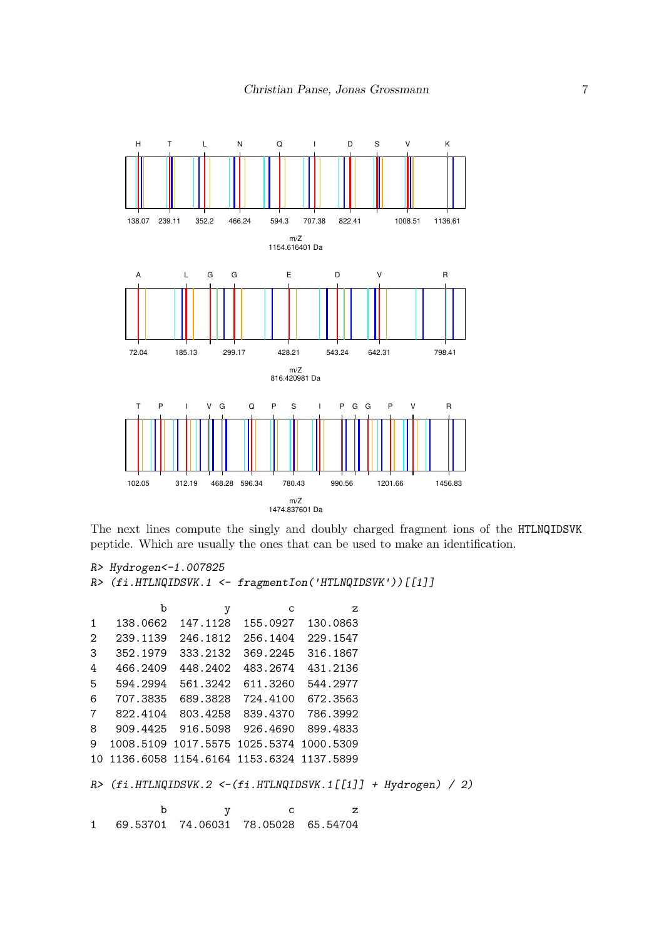

The next lines compute the singly and doubly charged fragment ions of the HTLNQIDSVK peptide. Which are usually the ones that can be used to make an identification.

```
R> Hydrogen<-1.007825
R> (fi.HTLNQIDSVK.1 <- fragmentIon('HTLNQIDSVK'))[[1]]
         b y c z
1 138.0662 147.1128 155.0927 130.0863
```
2 239.1139 246.1812 256.1404 229.1547 3 352.1979 333.2132 369.2245 316.1867 4 466.2409 448.2402 483.2674 431.2136 5 594.2994 561.3242 611.3260 544.2977 6 707.3835 689.3828 724.4100 672.3563 7 822.4104 803.4258 839.4370 786.3992 8 909.4425 916.5098 926.4690 899.4833 9 1008.5109 1017.5575 1025.5374 1000.5309 10 1136.6058 1154.6164 1153.6324 1137.5899

*R> (fi.HTLNQIDSVK.2 <-(fi.HTLNQIDSVK.1[[1]] + Hydrogen) / 2)*

b y c z 1 69.53701 74.06031 78.05028 65.54704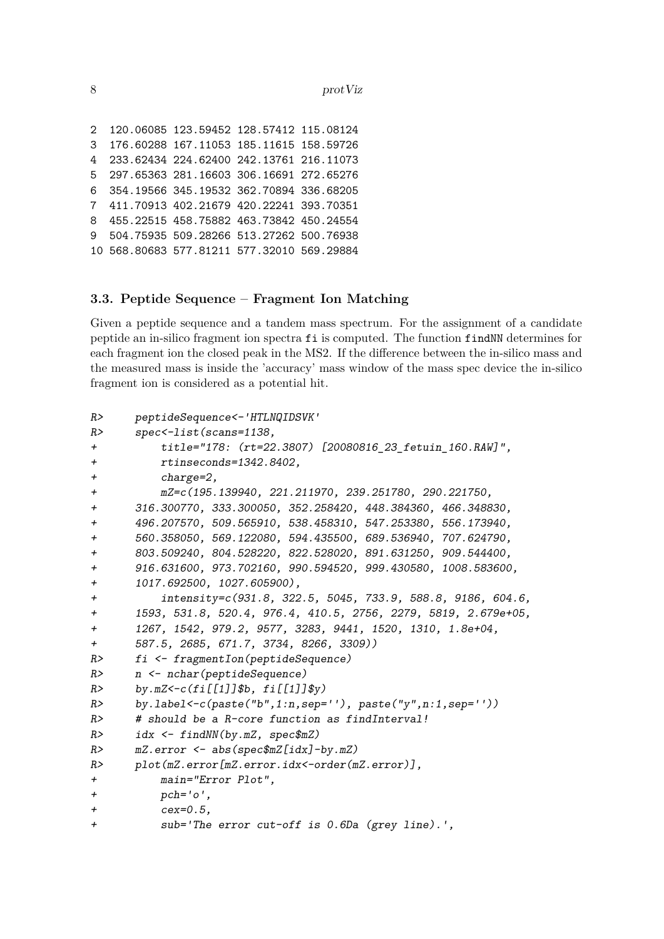2 120.06085 123.59452 128.57412 115.08124 3 176.60288 167.11053 185.11615 158.59726 4 233.62434 224.62400 242.13761 216.11073 5 297.65363 281.16603 306.16691 272.65276 6 354.19566 345.19532 362.70894 336.68205 7 411.70913 402.21679 420.22241 393.70351 8 455.22515 458.75882 463.73842 450.24554 9 504.75935 509.28266 513.27262 500.76938 10 568.80683 577.81211 577.32010 569.29884

#### **3.3. Peptide Sequence – Fragment Ion Matching**

Given a peptide sequence and a tandem mass spectrum. For the assignment of a candidate peptide an in-silico fragment ion spectra fi is computed. The function findNN determines for each fragment ion the closed peak in the MS2. If the difference between the in-silico mass and the measured mass is inside the 'accuracy' mass window of the mass spec device the in-silico fragment ion is considered as a potential hit.

```
R> peptideSequence<-'HTLNQIDSVK'
R> spec<-list(scans=1138,
+ title="178: (rt=22.3807) [20080816_23_fetuin_160.RAW]",
+ rtinseconds=1342.8402,
+ charge=2,
+ mZ=c(195.139940, 221.211970, 239.251780, 290.221750,
+ 316.300770, 333.300050, 352.258420, 448.384360, 466.348830,
+ 496.207570, 509.565910, 538.458310, 547.253380, 556.173940,
+ 560.358050, 569.122080, 594.435500, 689.536940, 707.624790,
+ 803.509240, 804.528220, 822.528020, 891.631250, 909.544400,
+ 916.631600, 973.702160, 990.594520, 999.430580, 1008.583600,
+ 1017.692500, 1027.605900),
+ intensity=c(931.8, 322.5, 5045, 733.9, 588.8, 9186, 604.6,
+ 1593, 531.8, 520.4, 976.4, 410.5, 2756, 2279, 5819, 2.679e+05,
+ 1267, 1542, 979.2, 9577, 3283, 9441, 1520, 1310, 1.8e+04,
+ 587.5, 2685, 671.7, 3734, 8266, 3309))
R> fi <- fragmentIon(peptideSequence)
R> n <- nchar(peptideSequence)
R> by.mZ<-c(fi[[1]]$b, fi[[1]]$y)
R> by.label<-c(paste("b",1:n,sep=''), paste("y",n:1,sep=''))
R> # should be a R-core function as findInterval!
R> idx <- findNN(by.mZ, spec$mZ)
R> mZ.error <- abs(spec$mZ[idx]-by.mZ)
R> plot(mZ.error[mZ.error.idx<-order(mZ.error)],
+ main="Error Plot",
+ pch='o',
+ cex=0.5,
+ sub='The error cut-off is 0.6Da (grey line).',
```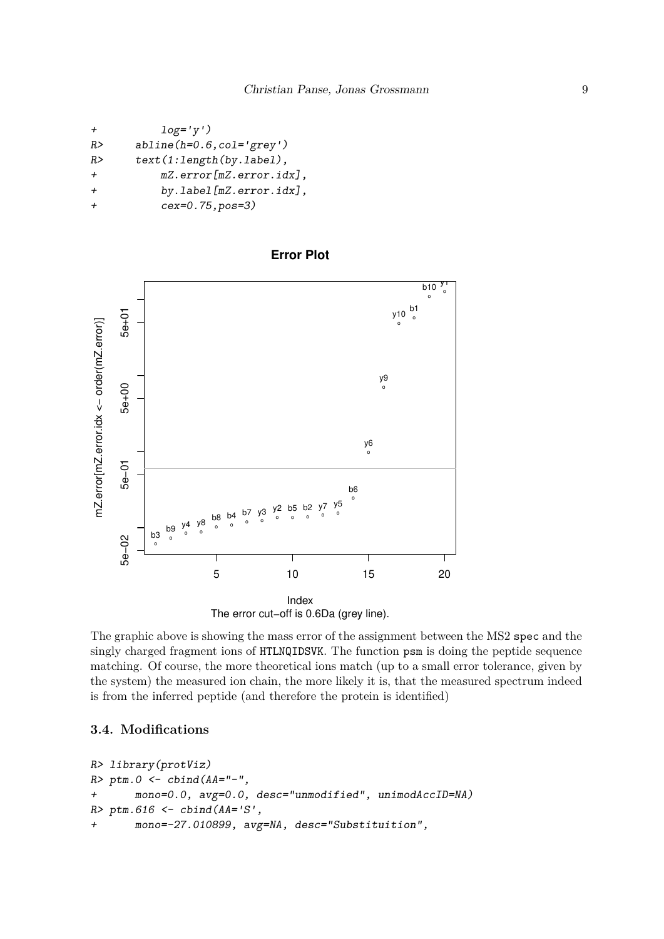```
+ log='y')
R> abline(h=0.6,col='grey')
R> text(1:length(by.label),
+ mZ.error[mZ.error.idx],
+ by.label[mZ.error.idx],
+ cex=0.75,pos=3)
```


**Error Plot**

The graphic above is showing the mass error of the assignment between the MS2 spec and the singly charged fragment ions of HTLNQIDSVK. The function psm is doing the peptide sequence matching. Of course, the more theoretical ions match (up to a small error tolerance, given by the system) the measured ion chain, the more likely it is, that the measured spectrum indeed is from the inferred peptide (and therefore the protein is identified)

## **3.4. Modifications**

```
R> library(protViz)
R> ptm.0 <- cbind(AA="-",
+ mono=0.0, avg=0.0, desc="unmodified", unimodAccID=NA)
R> ptm.616 <- cbind(AA='S',
+ mono=-27.010899, avg=NA, desc="Substituition",
```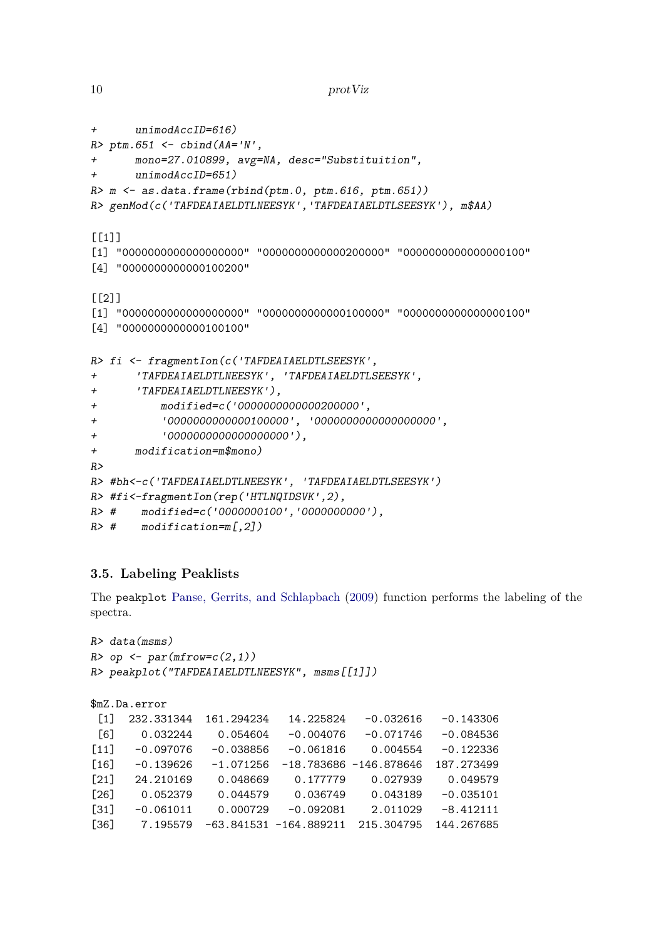```
10 protViz
```

```
+ unimodAccID=616)
R> ptm.651 <- cbind(AA='N',
+ mono=27.010899, avg=NA, desc="Substituition",
      + unimodAccID=651)
R> m <- as.data.frame(rbind(ptm.0, ptm.616, ptm.651))
R> genMod(c('TAFDEAIAELDTLNEESYK','TAFDEAIAELDTLSEESYK'), m$AA)
[[1][1] "0000000000000000000" "0000000000000200000" "0000000000000000100"
[4] "0000000000000100200"
[[2]]
[1] "0000000000000000000" "0000000000000100000" "0000000000000000100"
[4] "0000000000000100100"
R> fi <- fragmentIon(c('TAFDEAIAELDTLSEESYK',
+ 'TAFDEAIAELDTLNEESYK', 'TAFDEAIAELDTLSEESYK',
+ 'TAFDEAIAELDTLNEESYK'),
+ modified=c('0000000000000200000',
+ '0000000000000100000', '0000000000000000000',
+ '0000000000000000000'),
+ modification=m$mono)
R>
R> #bh<-c('TAFDEAIAELDTLNEESYK', 'TAFDEAIAELDTLSEESYK')
R> #fi<-fragmentIon(rep('HTLNQIDSVK',2),
R> # modified=c('0000000100','0000000000'),
R> # modification=m[,2])
```
# **3.5. Labeling Peaklists**

The peakplot [Panse, Gerrits, and Schlapbach](#page-27-3) [\(2009\)](#page-27-3) function performs the labeling of the spectra.

```
R> data(msms)
R> op <- par(mfrow=c(2,1))
R> peakplot("TAFDEAIAELDTLNEESYK", msms[[1]])
```

```
$mZ.Da.error
[1] 232.331344 161.294234 14.225824 -0.032616 -0.143306
[6] 0.032244 0.054604 -0.004076 -0.071746 -0.084536
[11] -0.097076 -0.038856 -0.061816 0.004554 -0.122336
[16] -0.139626 -1.071256 -18.783686 -146.878646 187.273499
[21] 24.210169 0.048669 0.177779 0.027939 0.049579
[26] 0.052379 0.044579 0.036749 0.043189 -0.035101
[31] -0.061011 0.000729 -0.092081 2.011029 -8.412111
[36] 7.195579 -63.841531 -164.889211 215.304795 144.267685
```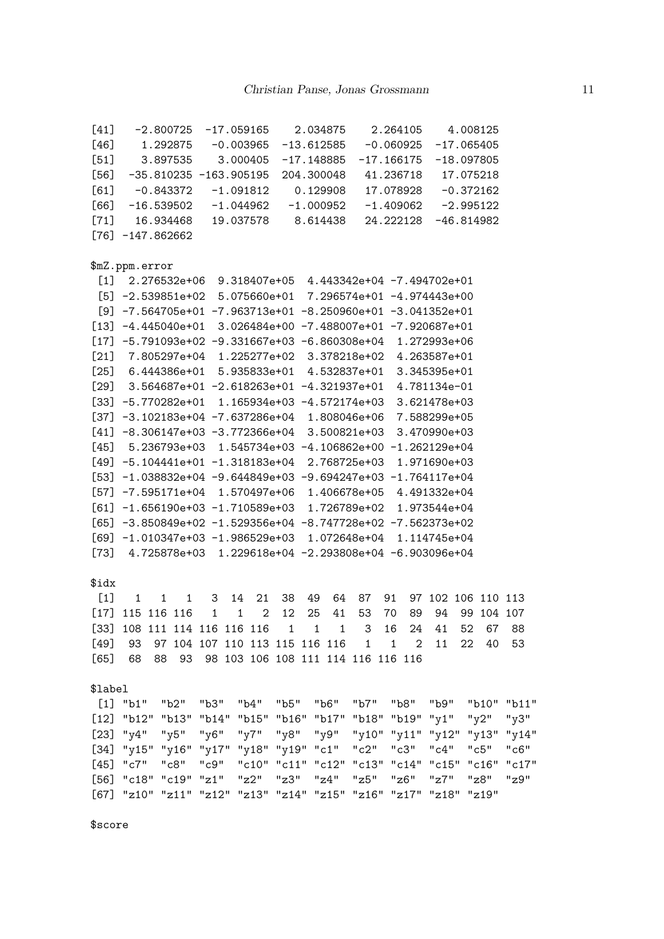| $[41]$  |                                                                | $-2.800725$ $-17.059165$       |                |    |                |      |              | 2.034875     |                                    |    | 2.264105                    |      |    | 4.008125           |                                                 |
|---------|----------------------------------------------------------------|--------------------------------|----------------|----|----------------|------|--------------|--------------|------------------------------------|----|-----------------------------|------|----|--------------------|-------------------------------------------------|
|         | $[46]$ 1.292875 -0.003965 -13.612585 -0.060925                 |                                |                |    |                |      |              |              |                                    |    |                             |      |    | $-17.065405$       |                                                 |
|         | $[51]$ 3.897535 3.000405 -17.148885 -17.166175 -18.097805      |                                |                |    |                |      |              |              |                                    |    |                             |      |    |                    |                                                 |
|         | $[56]$ -35.810235 -163.905195 204.300048                       |                                |                |    |                |      |              |              |                                    |    | 41.236718 17.075218         |      |    |                    |                                                 |
|         | $[61]$ -0.843372 -1.091812                                     |                                |                |    |                |      |              | 0.129908     |                                    |    | 17.078928 -0.372162         |      |    |                    |                                                 |
| [66]    | -16.539502 -1.044962 -1.000952                                 |                                |                |    |                |      |              |              |                                    |    | $-1.409062 -2.995122$       |      |    |                    |                                                 |
|         | $[71]$ 16.934468 19.037578 8.614438                            |                                |                |    |                |      |              |              |                                    |    | 24.222128                   |      |    | $-46.814982$       |                                                 |
|         | $[76] -147.862662$                                             |                                |                |    |                |      |              |              |                                    |    |                             |      |    |                    |                                                 |
|         |                                                                |                                |                |    |                |      |              |              |                                    |    |                             |      |    |                    |                                                 |
|         | \$mZ.ppm.error                                                 |                                |                |    |                |      |              |              |                                    |    |                             |      |    |                    |                                                 |
|         | $[1]$ 2.276532e+06 9.318407e+05 4.443342e+04 -7.494702e+01     |                                |                |    |                |      |              |              |                                    |    |                             |      |    |                    |                                                 |
|         | $[5]$ -2.539851e+02 5.075660e+01 7.296574e+01 -4.974443e+00    |                                |                |    |                |      |              |              |                                    |    |                             |      |    |                    |                                                 |
|         | $[9] -7.564705e+01 -7.963713e+01 -8.250960e+01 -3.041352e+01$  |                                |                |    |                |      |              |              |                                    |    |                             |      |    |                    |                                                 |
|         | $[13]$ -4.445040e+01 3.026484e+00 -7.488007e+01 -7.920687e+01  |                                |                |    |                |      |              |              |                                    |    |                             |      |    |                    |                                                 |
|         | $[17]$ -5.791093e+02 -9.331667e+03 -6.860308e+04 1.272993e+06  |                                |                |    |                |      |              |              |                                    |    |                             |      |    |                    |                                                 |
|         | [21] 7.805297e+04 1.225277e+02 3.378218e+02 4.263587e+01       |                                |                |    |                |      |              |              |                                    |    |                             |      |    |                    |                                                 |
|         | $[25]$ 6.444386e+01 5.935833e+01 4.532837e+01 3.345395e+01     |                                |                |    |                |      |              |              |                                    |    |                             |      |    |                    |                                                 |
|         | $[29]$ 3.564687e+01 -2.618263e+01 -4.321937e+01 4.781134e-01   |                                |                |    |                |      |              |              |                                    |    |                             |      |    |                    |                                                 |
|         | $[33]$ -5.770282e+01 1.165934e+03 -4.572174e+03 3.621478e+03   |                                |                |    |                |      |              |              |                                    |    |                             |      |    |                    |                                                 |
|         | $[37]$ -3.102183e+04 -7.637286e+04 1.808046e+06 7.588299e+05   |                                |                |    |                |      |              |              |                                    |    |                             |      |    |                    |                                                 |
|         | $[41]$ -8.306147e+03 -3.772366e+04 3.500821e+03                |                                |                |    |                |      |              |              |                                    |    | 3.470990e+03                |      |    |                    |                                                 |
|         | $[45]$ 5.236793e+03 1.545734e+03 -4.106862e+00 -1.262129e+04   |                                |                |    |                |      |              |              |                                    |    |                             |      |    |                    |                                                 |
|         | $[49] -5.104441e+01 -1.318183e+04 2.768725e+03 1.971690e+03$   |                                |                |    |                |      |              |              |                                    |    |                             |      |    |                    |                                                 |
|         | $[53] -1.038832e+04 -9.644849e+03 -9.694247e+03 -1.764117e+04$ |                                |                |    |                |      |              |              |                                    |    |                             |      |    |                    |                                                 |
|         | $[57]$ -7.595171e+04 1.570497e+06 1.406678e+05 4.491332e+04    |                                |                |    |                |      |              |              |                                    |    |                             |      |    |                    |                                                 |
|         | $[61] -1.656190e+03 -1.710589e+03$ 1.726789e+02 1.973544e+04   |                                |                |    |                |      |              |              |                                    |    |                             |      |    |                    |                                                 |
|         | $[65]$ -3.850849e+02 -1.529356e+04 -8.747728e+02 -7.562373e+02 |                                |                |    |                |      |              |              |                                    |    |                             |      |    |                    |                                                 |
|         | $[69] -1.010347e+03 -1.986529e+03$ 1.072648e+04 1.114745e+04   |                                |                |    |                |      |              |              |                                    |    |                             |      |    |                    |                                                 |
|         | $[73]$ 4.725878e+03 1.229618e+04 -2.293808e+04 -6.903096e+04   |                                |                |    |                |      |              |              |                                    |    |                             |      |    |                    |                                                 |
|         |                                                                |                                |                |    |                |      |              |              |                                    |    |                             |      |    |                    |                                                 |
| \$idx   |                                                                |                                |                |    |                |      |              |              |                                    |    |                             |      |    |                    |                                                 |
| $[1]$   | 1                                                              | $1 \quad 1$                    | 3              | 14 | 21             | 38   | 49           | 64           | 87                                 | 91 |                             |      |    | 97 102 106 110 113 |                                                 |
|         | $[17]$ 115 116 116 1 1                                         |                                |                |    | $\overline{2}$ | 12   | 25           | 41           | 53                                 | 70 | 89                          | 94   |    | 99 104 107         |                                                 |
| [33]    | 108 111 114 116 116 116 1                                      |                                |                |    |                |      | $\mathbf{1}$ | $\mathbf{1}$ | 3                                  | 16 | 24                          | 41   | 52 | 67                 | 88                                              |
| $[49]$  | 93                                                             | 97 104 107 110 113 115 116 116 |                |    |                |      |              |              | 1                                  | 1  | $\mathcal{D}_{\mathcal{L}}$ | 11   | 22 | 40                 | 53                                              |
| [65]    | 68                                                             | 88<br>- 93                     |                |    |                |      |              |              | 98 103 106 108 111 114 116 116 116 |    |                             |      |    |                    |                                                 |
|         |                                                                |                                |                |    |                |      |              |              |                                    |    |                             |      |    |                    |                                                 |
| \$label |                                                                |                                |                |    |                |      |              |              |                                    |    |                             |      |    |                    |                                                 |
|         | [1] "b1"                                                       | "b2"                           | "b3"           |    | "b4" "b5"      |      |              | "b6"         |                                    |    | "b7" "b8"                   | "b9" |    |                    | "b10" "b11"                                     |
| $[12]$  | "b12" "b13" "b14" "b15" "b16" "b17" "b18" "b19" "y1"           |                                |                |    |                |      |              |              |                                    |    |                             |      |    | "y2"               | "y3"                                            |
| $[23]$  | "y4"                                                           | "y5"                           | "y6" "y7" "y8" |    |                |      |              |              |                                    |    |                             |      |    |                    | "y9" "y10" "y11" "y12" "y13" "y14"              |
| $[34]$  | "y15" "y16" "y17" "y18" "y19" "c1" "c2" "c3"                   |                                |                |    |                |      |              |              |                                    |    |                             | "c4" |    | "c5"               | "c6"                                            |
| [45]    | "c7" "c8" "c9"                                                 |                                |                |    |                |      |              |              |                                    |    |                             |      |    |                    | "c10" "c11" "c12" "c13" "c14" "c15" "c16" "c17" |
| [56]    | "c18" "c19" "z1" "z2"                                          |                                |                |    |                | "z3" |              | "z4"         | "z5"                               |    | "z6"                        | "z7" |    | "z8"               | "z9"                                            |

[67] "z10" "z11" "z12" "z13" "z14" "z15" "z16" "z17" "z18" "z19"

\$score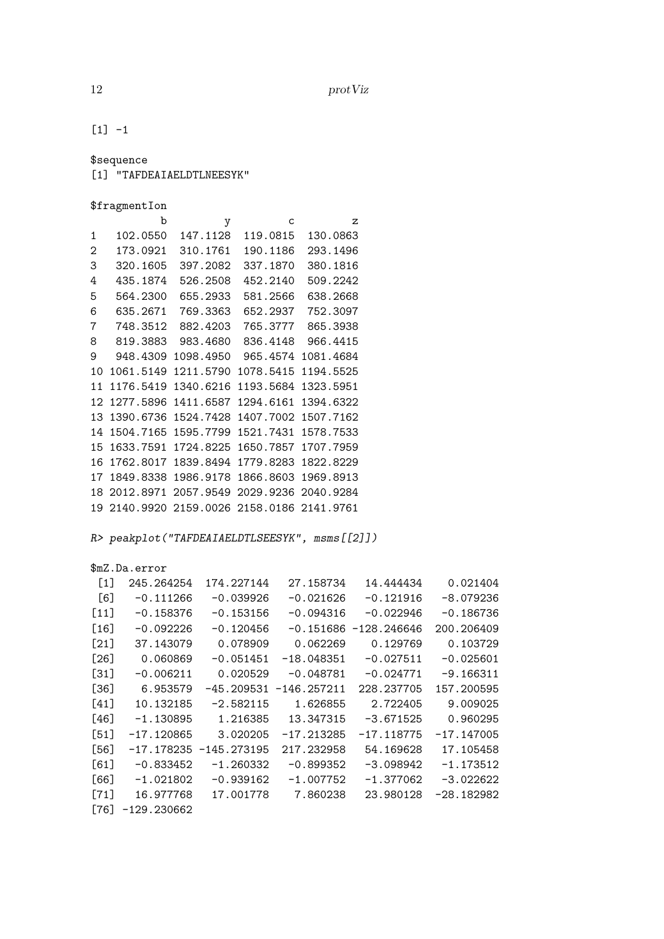12 protViz

 $[1] -1$ 

\$sequence

[1] "TAFDEAIAELDTLNEESYK"

| \$fragmentIon |
|---------------|
|---------------|

|    | \$fragmentIon |           |           |           |
|----|---------------|-----------|-----------|-----------|
|    | b             | y         | C         | z         |
| 1  | 102.0550      | 147.1128  | 119.0815  | 130.0863  |
| 2  | 173.0921      | 310.1761  | 190.1186  | 293.1496  |
| 3  | 320.1605      | 397.2082  | 337.1870  | 380.1816  |
| 4  | 435.1874      | 526.2508  | 452.2140  | 509.2242  |
| 5  | 564.2300      | 655.2933  | 581.2566  | 638.2668  |
| 6  | 635.2671      | 769.3363  | 652.2937  | 752.3097  |
| 7  | 748.3512      | 882.4203  | 765.3777  | 865.3938  |
| 8  | 819.3883      | 983.4680  | 836.4148  | 966.4415  |
| 9  | 948.4309      | 1098.4950 | 965.4574  | 1081.4684 |
| 10 | 1061.5149     | 1211.5790 | 1078.5415 | 1194.5525 |
| 11 | 1176.5419     | 1340.6216 | 1193.5684 | 1323.5951 |
| 12 | 1277.5896     | 1411.6587 | 1294.6161 | 1394.6322 |
| 13 | 1390.6736     | 1524.7428 | 1407.7002 | 1507.7162 |
| 14 | 1504.7165     | 1595.7799 | 1521.7431 | 1578.7533 |
| 15 | 1633.7591     | 1724.8225 | 1650.7857 | 1707.7959 |
| 16 | 1762.8017     | 1839.8494 | 1779.8283 | 1822.8229 |
| 17 | 1849.8338     | 1986.9178 | 1866.8603 | 1969.8913 |
| 18 | 2012.8971     | 2057.9549 | 2029.9236 | 2040.9284 |
| 19 | 2140.9920     | 2159.0026 | 2158.0186 | 2141.9761 |

*R> peakplot("TAFDEAIAELDTLSEESYK", msms[[2]])*

\$mZ.Da.error

| $[1]$  | 245.264254    | 174.227144               | 27.158734    | 14.444434                | 0.021404     |
|--------|---------------|--------------------------|--------------|--------------------------|--------------|
| [6]    | $-0.111266$   | $-0.039926$              | $-0.021626$  | $-0.121916$              | $-8.079236$  |
| $[11]$ | $-0.158376$   | $-0.153156$              | $-0.094316$  | $-0.022946$              | -0.186736    |
| $[16]$ | $-0.092226$   | $-0.120456$              |              | $-0.151686 - 128.246646$ | 200.206409   |
| $[21]$ | 37.143079     | 0.078909                 | 0.062269     | 0.129769                 | 0.103729     |
| $[26]$ | 0.060869      | $-0.051451$              | $-18.048351$ | $-0.027511$              | $-0.025601$  |
| $[31]$ | $-0.006211$   | 0.020529                 | $-0.048781$  | $-0.024771$              | $-9.166311$  |
| $[36]$ | 6.953579      | $-45.209531$             | -146.257211  | 228.237705               | 157.200595   |
| $[41]$ | 10.132185     | $-2.582115$              | 1.626855     | 2.722405                 | 9.009025     |
| [46]   | $-1.130895$   | 1.216385                 | 13.347315    | $-3.671525$              | 0.960295     |
| $[51]$ | -17.120865    | 3.020205                 | $-17.213285$ | $-17.118775$             | $-17.147005$ |
| [56]   |               | $-17.178235 -145.273195$ | 217.232958   | 54.169628                | 17.105458    |
| [61]   | $-0.833452$   | $-1.260332$              | $-0.899352$  | $-3.098942$              | $-1.173512$  |
| [66]   | $-1.021802$   | $-0.939162$              | $-1.007752$  | $-1.377062$              | $-3.022622$  |
| $[71]$ | 16.977768     | 17.001778                | 7.860238     | 23.980128                | $-28.182982$ |
| [76]   | $-129.230662$ |                          |              |                          |              |
|        |               |                          |              |                          |              |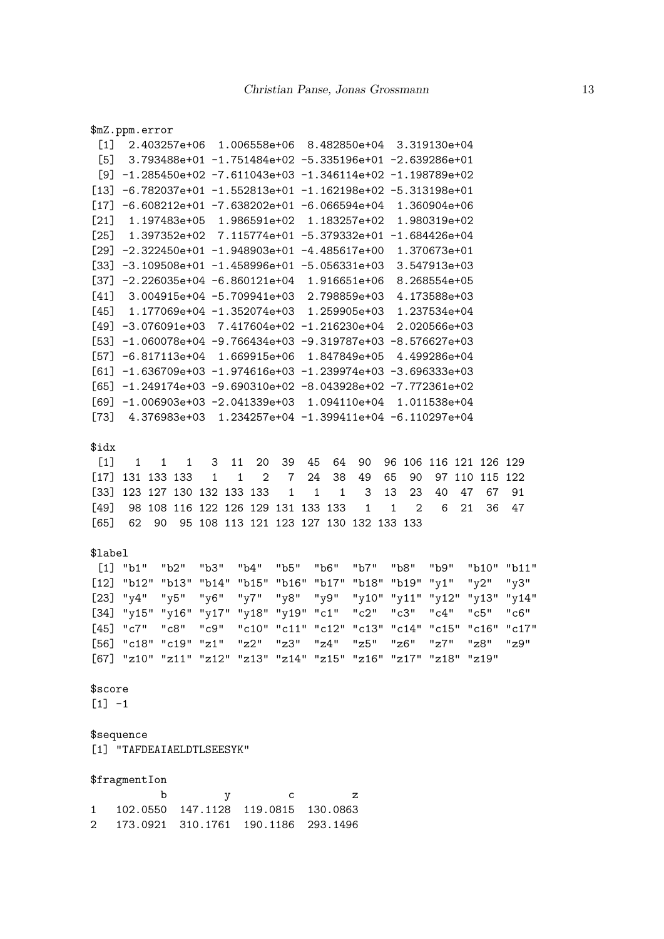[21] 1.197483e+05 1.986591e+02 1.183257e+02 1.980319e+02 [25] 1.397352e+02 7.115774e+01 -5.379332e+01 -1.684426e+04 [29] -2.322450e+01 -1.948903e+01 -4.485617e+00 1.370673e+01  $\begin{bmatrix} 331 & -3.109508 & +01 & -1.458996 & +01 & -5.056331 & +03 \\ 0 & 0 & 3.547913 & +0.3 & -1.458996 & +0.1 & -5.056331 & +0.3 \\ 0 & 0 & 0 & 0 & 0 & 0.0 & 0 \end{bmatrix}$ [37] -2.226035e+04 -6.860121e+04 1.916651e+06 8.268554e+05 [41] 3.004915e+04 -5.709941e+03 2.798859e+03 4.173588e+03 [45] 1.177069e+04 -1.352074e+03 1.259905e+03 1.237534e+04 [49] -3.076091e+03 7.417604e+02 -1.216230e+04 2.020566e+03 [53] -1.060078e+04 -9.766434e+03 -9.319787e+03 -8.576627e+03 [57] -6.817113e+04 1.669915e+06 1.847849e+05 4.499286e+04  $[61] -1.636709e+03 -1.974616e+03 -1.239974e+03 -3.696333e+03$ [65] -1.249174e+03 -9.690310e+02 -8.043928e+02 -7.772361e+02 [69] -1.006903e+03 -2.041339e+03 1.094110e+04 1.011538e+04 [73] 4.376983e+03 1.234257e+04 -1.399411e+04 -6.110297e+04 \$idx [1] 1 1 1 3 11 20 39 45 64 90 96 106 116 121 126 129 [17] 131 133 133 1 1 2 7 24 38 49 65 90 97 110 115 122 [33] 123 127 130 132 133 133 1 1 1 3 13 23 40 47 67 91 [49] 98 108 116 122 126 129 131 133 133 1 1 2 6 21 36 47 [65] 62 90 95 108 113 121 123 127 130 132 133 133 \$label [1] "b1" "b2" "b3" "b4" "b5" "b6" "b7" "b8" "b9" "b10" "b11" [12] "b12" "b13" "b14" "b15" "b16" "b17" "b18" "b19" "y1" "y2" "y3" [23] "y4" "y5" "y6" "y7" "y8" "y9" "y10" "y11" "y12" "y13" "y14" [34] "y15" "y16" "y17" "y18" "y19" "c1" "c2" "c3" "c4" "c5" "c6" [45] "c7" "c8" "c9" "c10" "c11" "c12" "c13" "c14" "c15" "c16" "c17" [56] "c18" "c19" "z1" "z2" "z3" "z4" "z5" "z6" "z7" "z8" "z9" [67] "z10" "z11" "z12" "z13" "z14" "z15" "z16" "z17" "z18" "z19"

[1] 2.403257e+06 1.006558e+06 8.482850e+04 3.319130e+04 [5] 3.793488e+01 -1.751484e+02 -5.335196e+01 -2.639286e+01 [9] -1.285450e+02 -7.611043e+03 -1.346114e+02 -1.198789e+02 [13] -6.782037e+01 -1.552813e+01 -1.162198e+02 -5.313198e+01  $[17] -6.608212e+01 -7.638202e+01 -6.066594e+04 1.360904e+06$ 

\$mZ.ppm.error

\$score  $[1] -1$ 

\$sequence

[1] "TAFDEAIAELDTLSEESYK"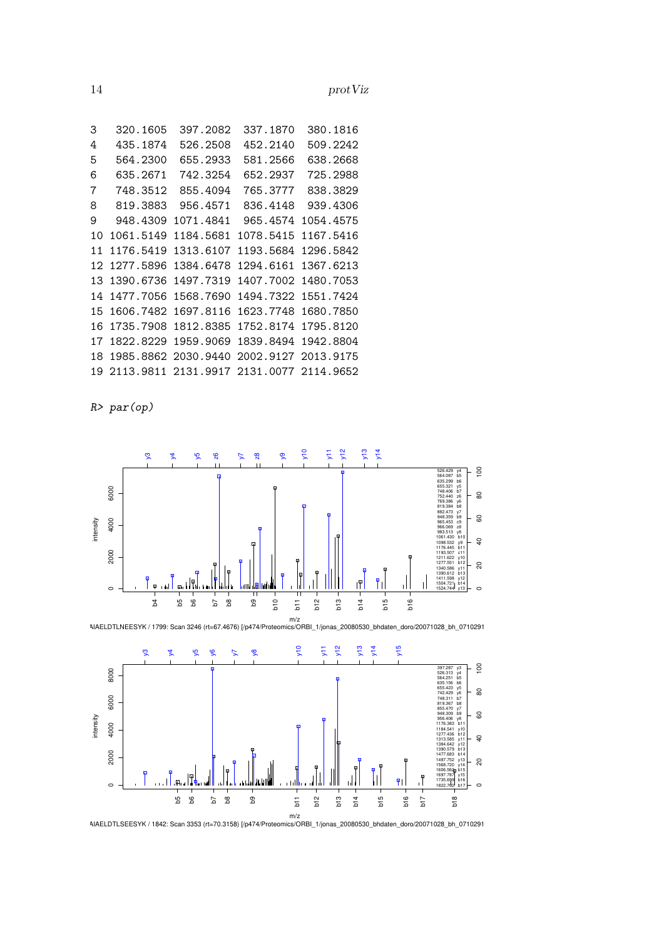| 3  | 320.1605  | 397.2082  | 337.1870  | 380.1816            |
|----|-----------|-----------|-----------|---------------------|
| 4  | 435.1874  | 526.2508  | 452.2140  | 509.2242            |
| 5  | 564.2300  | 655.2933  | 581.2566  | 638.2668            |
| 6  | 635.2671  | 742.3254  | 652.2937  | 725.2988            |
| 7  | 748.3512  | 855.4094  | 765.3777  | 838.3829            |
| 8  | 819.3883  | 956.4571  | 836.4148  | 939.4306            |
| 9  | 948.4309  | 1071.4841 | 965.4574  | 1054.4575           |
| 10 | 1061.5149 | 1184.5681 | 1078.5415 | 1167.5416           |
| 11 | 1176.5419 | 1313.6107 | 1193.5684 | 1296.5842           |
| 12 | 1277.5896 | 1384.6478 | 1294.6161 | 1367.6213           |
| 13 | 1390.6736 | 1497.7319 | 1407.7002 | 1480.7053           |
| 14 | 1477.7056 | 1568.7690 | 1494.7322 | 1551.7424           |
| 15 | 1606.7482 | 1697.8116 | 1623.7748 | 1680.7850           |
| 16 | 1735.7908 | 1812.8385 | 1752.8174 | 1795.8120           |
| 17 | 1822.8229 | 1959.9069 | 1839.8494 | 1942.8804           |
| 18 | 1985.8862 | 2030.9440 |           | 2002.9127 2013.9175 |
| 19 | 2113.9811 | 2131.9917 | 2131,0077 | 2114.9652           |
|    |           |           |           |                     |

*R> par(op)*

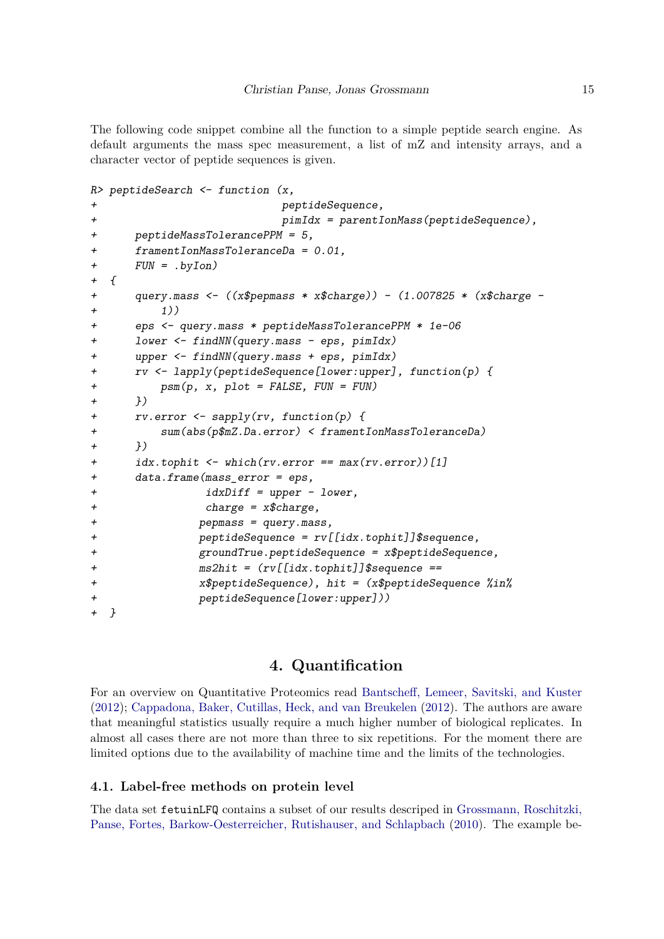The following code snippet combine all the function to a simple peptide search engine. As default arguments the mass spec measurement, a list of mZ and intensity arrays, and a character vector of peptide sequences is given.

```
R> peptideSearch <- function (x,
+ peptideSequence,
+ pimIdx = parentIonMass(peptideSequence),
+ peptideMassTolerancePPM = 5,
+ framentIonMassToleranceDa = 0.01,
+ FUN = .byIon)
+ {
+ query.mass <- ((x$pepmass * x$charge)) - (1.007825 * (x$charge -
+ 1))
+ eps <- query.mass * peptideMassTolerancePPM * 1e-06
+ lower <- findNN(query.mass - eps, pimIdx)
+ upper <- findNN(query.mass + eps, pimIdx)
+ rv <- lapply(peptideSequence[lower:upper], function(p) {
+ psm(p, x, plot = FALSE, FUN = FUN)
+ })
+ rv.error <- sapply(rv, function(p) {
        + sum(abs(p$mZ.Da.error) < framentIonMassToleranceDa)
+ })
+ idx.tophit <- which(rv.error == max(rv.error))[1]
+ data.frame(mass_error = eps,
+ idxDiff = upper - lower,
+ charge = x$charge,
+ pepmass = query.mass,
+ peptideSequence = rv[[idx.tophit]]$sequence,
+ groundTrue.peptideSequence = x$peptideSequence,
+ ms2hit = (rv[[idx.tophit]]$sequence ==
+ x$peptideSequence), hit = (x$peptideSequence %in%
+ peptideSequence[lower:upper]))
+ }
```
## **4. Quantification**

For an overview on Quantitative Proteomics read [Bantscheff, Lemeer, Savitski, and Kuster](#page-26-0) [\(2012\)](#page-26-0); [Cappadona, Baker, Cutillas, Heck, and van Breukelen](#page-26-1) [\(2012\)](#page-26-1). The authors are aware that meaningful statistics usually require a much higher number of biological replicates. In almost all cases there are not more than three to six repetitions. For the moment there are limited options due to the availability of machine time and the limits of the technologies.

### **4.1. Label-free methods on protein level**

The data set fetuinLFQ contains a subset of our results descriped in [Grossmann, Roschitzki,](#page-27-4) [Panse, Fortes, Barkow-Oesterreicher, Rutishauser, and Schlapbach](#page-27-4) [\(2010\)](#page-27-4). The example be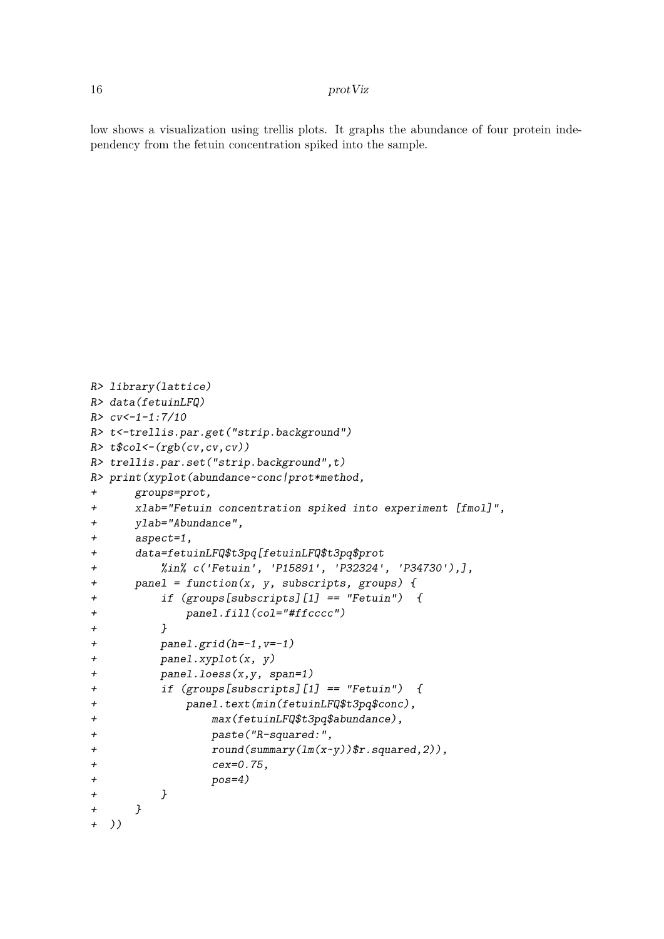low shows a visualization using trellis plots. It graphs the abundance of four protein independency from the fetuin concentration spiked into the sample.

```
R> library(lattice)
R> data(fetuinLFQ)
R> cv<-1-1:7/10
R> t<-trellis.par.get("strip.background")
R> t$col<-(rgb(cv,cv,cv))
R> trellis.par.set("strip.background",t)
R> print(xyplot(abundance~conc|prot*method,
+ groups=prot,
+ xlab="Fetuin concentration spiked into experiment [fmol]",
+ ylab="Abundance",
+ aspect=1,
+ data=fetuinLFQ$t3pq[fetuinLFQ$t3pq$prot
+ %in% c('Fetuin', 'P15891', 'P32324', 'P34730'),],
+ panel = function(x, y, subscripts, groups) {
+ if (groups[subscripts][1] == "Fetuin") {
+ panel.fill(col="#ffcccc")
+ }
+ panel.grid(h=-1,v=-1)
+ panel.xyplot(x, y)
+ panel.loess(x,y, span=1)
+ if (groups[subscripts][1] == "Fetuin") {
+ panel.text(min(fetuinLFQ$t3pq$conc),
+ max(fetuinLFQ$t3pq$abundance),
+ paste("R-squared:",
+ round(summary(lm(x~y))$r.squared,2)),
+ cex=0.75,
+ pos=4)
+ }
+ }
+ ))
```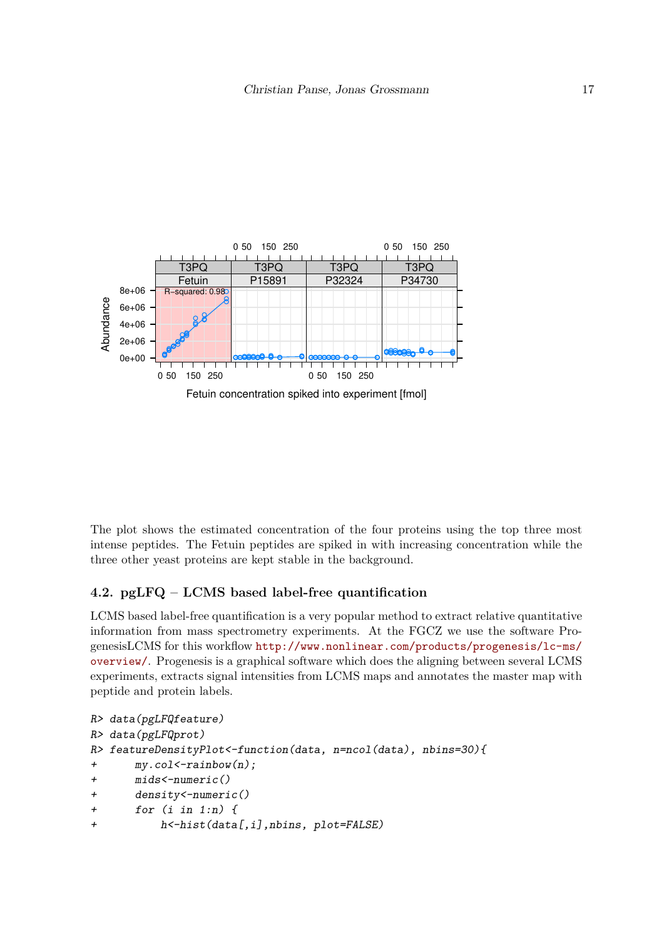

The plot shows the estimated concentration of the four proteins using the top three most intense peptides. The Fetuin peptides are spiked in with increasing concentration while the three other yeast proteins are kept stable in the background.

## **4.2. pgLFQ – LCMS based label-free quantification**

LCMS based label-free quantification is a very popular method to extract relative quantitative information from mass spectrometry experiments. At the FGCZ we use the software ProgenesisLCMS for this workflow [http://www.nonlinear.com/products/progenesis/lc-ms/](http://www.nonlinear.com/products/progenesis/lc-ms/overview/) [overview/](http://www.nonlinear.com/products/progenesis/lc-ms/overview/). Progenesis is a graphical software which does the aligning between several LCMS experiments, extracts signal intensities from LCMS maps and annotates the master map with peptide and protein labels.

```
R> data(pgLFQfeature)
R> data(pgLFQprot)
R> featureDensityPlot<-function(data, n=ncol(data), nbins=30){
+ my.col<-rainbow(n);
+ mids<-numeric()
+ density<-numeric()
+ for (i in 1:n) {
+ h<-hist(data[,i],nbins, plot=FALSE)
```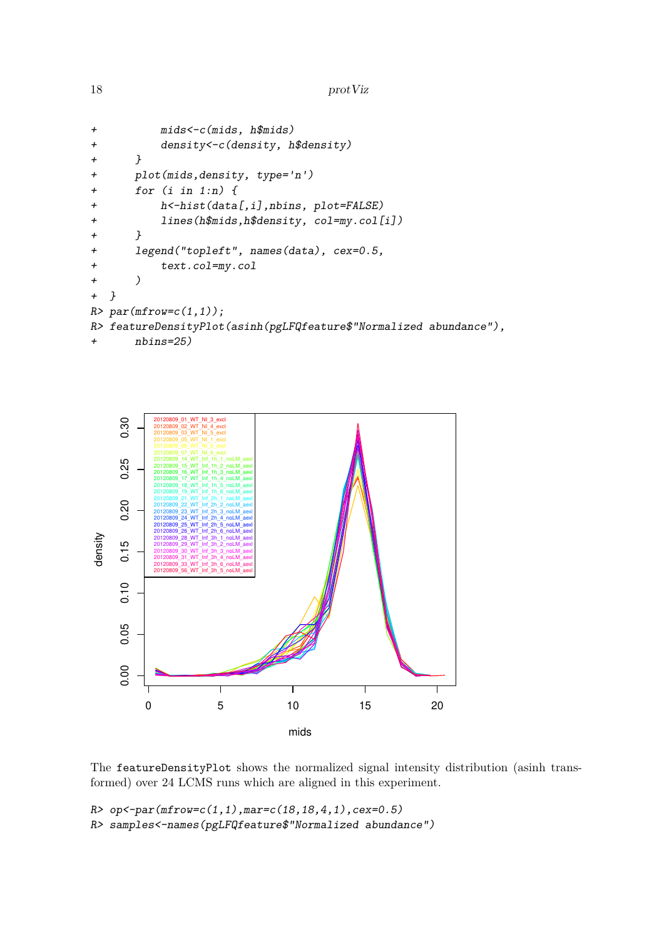```
18 protViz
```

```
+ mids<-c(mids, h$mids)
+ density<-c(density, h$density)
+ }
+ plot(mids,density, type='n')
+ for (i in 1:n) {
+ h<-hist(data[,i],nbins, plot=FALSE)
+ lines(h$mids,h$density, col=my.col[i])
+ }
+ legend("topleft", names(data), cex=0.5,
+ text.col=my.col
+ )
+ }
R> par(mfrow=c(1,1));
R> featureDensityPlot(asinh(pgLFQfeature$"Normalized abundance"),
+ nbins=25)
```


The featureDensityPlot shows the normalized signal intensity distribution (asinh transformed) over 24 LCMS runs which are aligned in this experiment.

*R> op<-par(mfrow=c(1,1),mar=c(18,18,4,1),cex=0.5) R> samples<-names(pgLFQfeature\$"Normalized abundance")*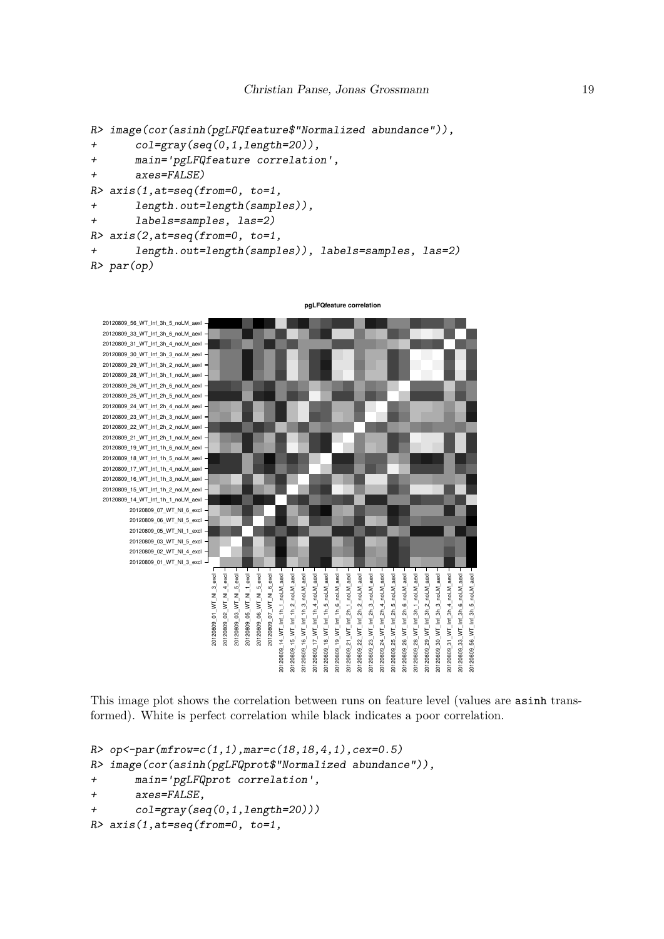```
R> image(cor(asinh(pgLFQfeature$"Normalized abundance")),
```

```
+ col=gray(seq(0,1,length=20)),
```

```
+ main='pgLFQfeature correlation',
```

```
+ axes=FALSE)
```

```
R> axis(1,at=seq(from=0, to=1,
```

```
+ length.out=length(samples)),
```

```
+ labels=samples, las=2)
```

```
R> axis(2,at=seq(from=0, to=1,
```
*+ length.out=length(samples)), labels=samples, las=2) R> par(op)*



This image plot shows the correlation between runs on feature level (values are asinh transformed). White is perfect correlation while black indicates a poor correlation.

```
R> op<-par(mfrow=c(1,1),mar=c(18,18,4,1),cex=0.5)
R> image(cor(asinh(pgLFQprot$"Normalized abundance")),
+ main='pgLFQprot correlation',
+ axes=FALSE,
+ col=gray(seq(0,1,length=20)))
R> axis(1,at=seq(from=0, to=1,
```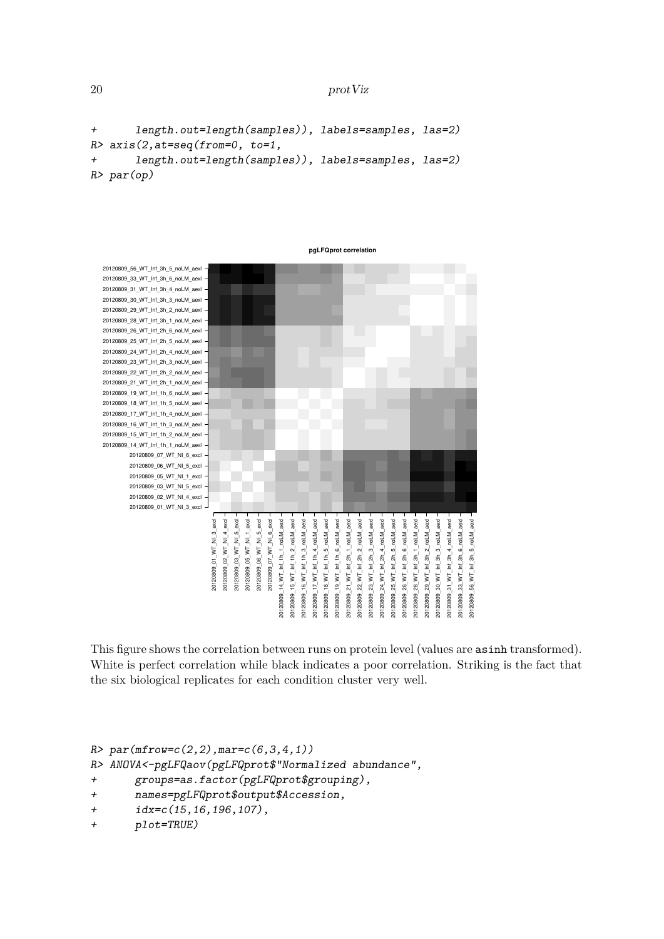```
20 protViz
```

```
+ length.out=length(samples)), labels=samples, las=2)
R> axis(2,at=seq(from=0, to=1,
+ length.out=length(samples)), labels=samples, las=2)
R> par(op)
```


This figure shows the correlation between runs on protein level (values are asinh transformed). White is perfect correlation while black indicates a poor correlation. Striking is the fact that the six biological replicates for each condition cluster very well.

```
R> par(mfrow=c(2,2),mar=c(6,3,4,1))
```
*R> ANOVA<-pgLFQaov(pgLFQprot\$"Normalized abundance",*

- *+ groups=as.factor(pgLFQprot\$grouping),*
- *+ names=pgLFQprot\$output\$Accession,*
- *+ idx=c(15,16,196,107),*

```
+ plot=TRUE)
```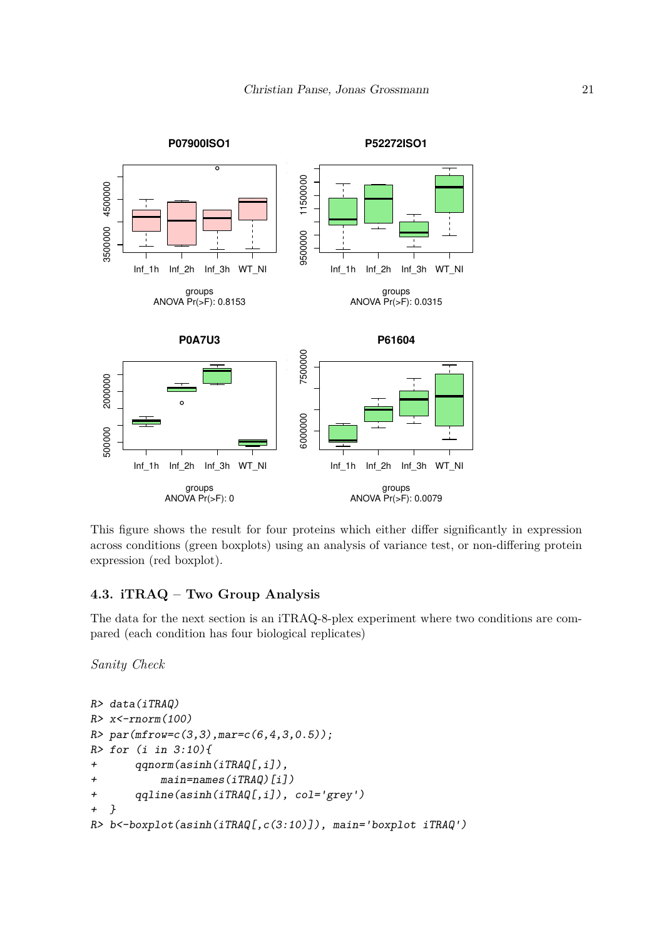

This figure shows the result for four proteins which either differ significantly in expression across conditions (green boxplots) using an analysis of variance test, or non-differing protein expression (red boxplot).

# **4.3. iTRAQ – Two Group Analysis**

The data for the next section is an iTRAQ-8-plex experiment where two conditions are compared (each condition has four biological replicates)

*Sanity Check*

```
R> data(iTRAQ)
R> x<-rnorm(100)
R> par(mfrow=c(3,3),mar=c(6,4,3,0.5));
R> for (i in 3:10){
+ qqnorm(asinh(iTRAQ[,i]),
+ main=names(iTRAQ)[i])
+ qqline(asinh(iTRAQ[,i]), col='grey')
+ }
R> b<-boxplot(asinh(iTRAQ[,c(3:10)]), main='boxplot iTRAQ')
```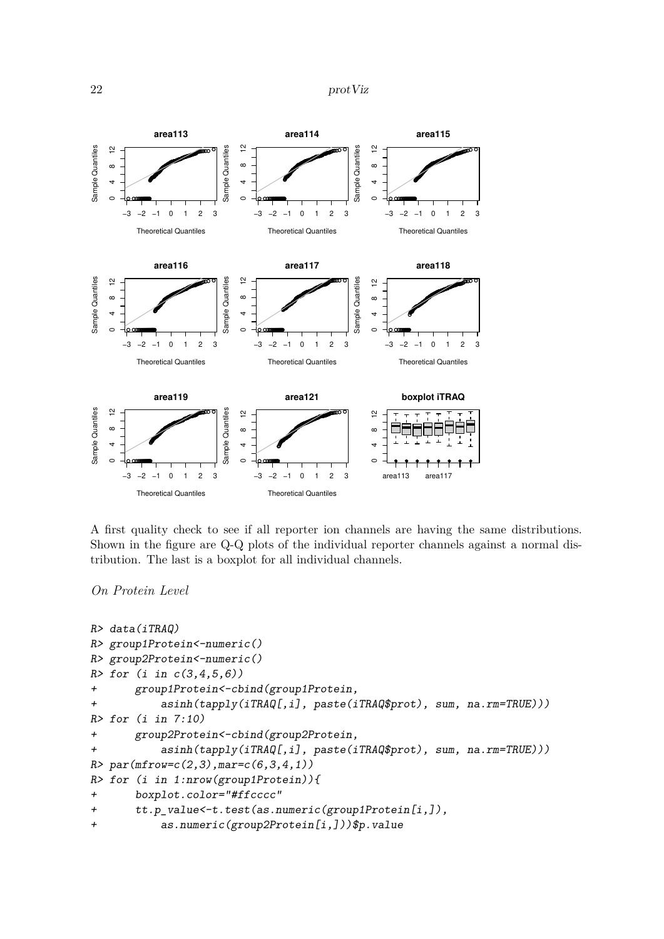```
22 protViz
```


A first quality check to see if all reporter ion channels are having the same distributions. Shown in the figure are Q-Q plots of the individual reporter channels against a normal distribution. The last is a boxplot for all individual channels.

*On Protein Level*

```
R> data(iTRAQ)
R> group1Protein<-numeric()
R> group2Protein<-numeric()
R> for (i in c(3,4,5,6))
+ group1Protein<-cbind(group1Protein,
+ asinh(tapply(iTRAQ[,i], paste(iTRAQ$prot), sum, na.rm=TRUE)))
R> for (i in 7:10)
+ group2Protein<-cbind(group2Protein,
+ asinh(tapply(iTRAQ[,i], paste(iTRAQ$prot), sum, na.rm=TRUE)))
R> par(mfrow=c(2,3),mar=c(6,3,4,1))
R> for (i in 1:nrow(group1Protein)){
+ boxplot.color="#ffcccc"
+ tt.p_value<-t.test(as.numeric(group1Protein[i,]),
+ as.numeric(group2Protein[i,]))$p.value
```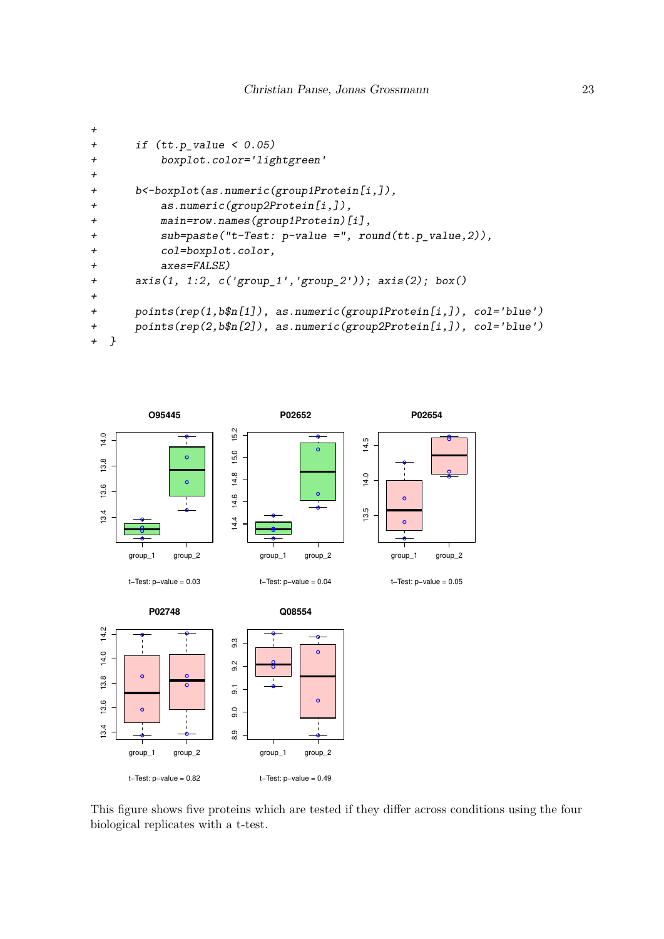```
+
+ if (tt.p_value < 0.05)
+ boxplot.color='lightgreen'
+
+ b<-boxplot(as.numeric(group1Protein[i,]),
+ as.numeric(group2Protein[i,]),
+ main=row.names(group1Protein)[i],
+ sub=paste("t-Test: p-value =", round(tt.p_value,2)),
+ col=boxplot.color,
+ axes=FALSE)
+ axis(1, 1:2, c('group_1','group_2')); axis(2); box()
+
+ points(rep(1,b$n[1]), as.numeric(group1Protein[i,]), col='blue')
+ points(rep(2,b$n[2]), as.numeric(group2Protein[i,]), col='blue')
+ }
```


This figure shows five proteins which are tested if they differ across conditions using the four biological replicates with a t-test.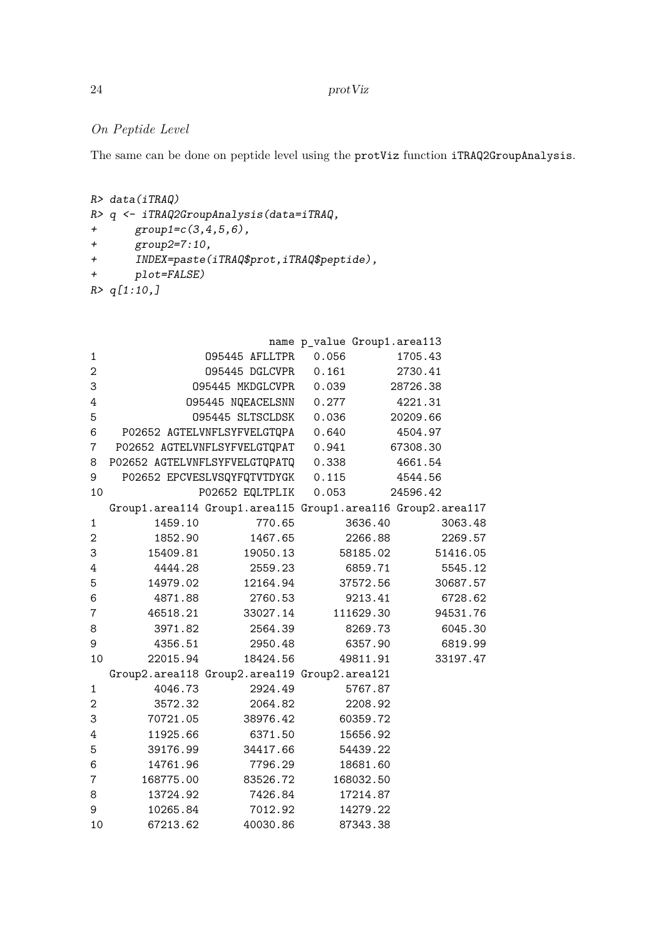# *On Peptide Level*

The same can be done on peptide level using the protViz function iTRAQ2GroupAnalysis.

```
R> data(iTRAQ)
R> q <- iTRAQ2GroupAnalysis(data=iTRAQ,
+ group1=c(3,4,5,6),
+ group2=7:10,
+ INDEX=paste(iTRAQ$prot,iTRAQ$peptide),
+ plot=FALSE)
R> q[1:10,]
```

|                  |           |                                                             | name p_value Group1.area113 |          |
|------------------|-----------|-------------------------------------------------------------|-----------------------------|----------|
| $\mathbf{1}$     |           | 095445 AFLLTPR                                              | 0.056                       | 1705.43  |
| $\boldsymbol{2}$ |           | 095445 DGLCVPR   0.161                                      |                             | 2730.41  |
| 3                |           | 095445 MKDGLCVPR 0.039                                      |                             | 28726.38 |
| 4                |           | 095445 NQEACELSNN 0.277                                     |                             | 4221.31  |
| 5                |           | 095445 SLTSCLDSK 0.036                                      |                             | 20209.66 |
| 6                |           | P02652 AGTELVNFLSYFVELGTQPA                                 | 0.640                       | 4504.97  |
| $\overline{7}$   |           | P02652 AGTELVNFLSYFVELGTQPAT 0.941                          |                             | 67308.30 |
| 8                |           | P02652 AGTELVNFLSYFVELGTQPATQ 0.338                         |                             | 4661.54  |
| 9                |           | P02652 EPCVESLVSQYFQTVTDYGK 0.115                           |                             | 4544.56  |
| 10               |           | P02652 EQLTPLIK 0.053                                       |                             | 24596.42 |
|                  |           | Group1.area114 Group1.area115 Group1.area116 Group2.area117 |                             |          |
| 1                | 1459.10   | 770.65                                                      | 3636.40                     | 3063.48  |
| $\boldsymbol{2}$ | 1852.90   | 1467.65                                                     | 2266.88                     | 2269.57  |
| 3                | 15409.81  | 19050.13                                                    | 58185.02                    | 51416.05 |
| 4                | 4444.28   | 2559.23                                                     | 6859.71                     | 5545.12  |
| 5                | 14979.02  | 12164.94                                                    | 37572.56                    | 30687.57 |
| $\,6$            | 4871.88   | 2760.53                                                     | 9213.41                     | 6728.62  |
| 7                | 46518.21  | 33027.14                                                    | 111629.30                   | 94531.76 |
| 8                | 3971.82   | 2564.39                                                     | 8269.73                     | 6045.30  |
| 9                | 4356.51   | 2950.48                                                     | 6357.90                     | 6819.99  |
| 10               | 22015.94  | 18424.56                                                    | 49811.91                    | 33197.47 |
|                  |           | Group2.area118 Group2.area119 Group2.area121                |                             |          |
| $\mathbf{1}$     | 4046.73   | 2924.49                                                     | 5767.87                     |          |
| 2                | 3572.32   | 2064.82                                                     | 2208.92                     |          |
| 3                | 70721.05  | 38976.42                                                    | 60359.72                    |          |
| 4                | 11925.66  | 6371.50                                                     | 15656.92                    |          |
| 5                | 39176.99  | 34417.66                                                    | 54439.22                    |          |
| 6                | 14761.96  | 7796.29                                                     | 18681.60                    |          |
| $\overline{7}$   | 168775.00 | 83526.72                                                    | 168032.50                   |          |
| 8                | 13724.92  | 7426.84                                                     | 17214.87                    |          |
| 9                | 10265.84  | 7012.92                                                     | 14279.22                    |          |
| 10               | 67213.62  | 40030.86                                                    | 87343.38                    |          |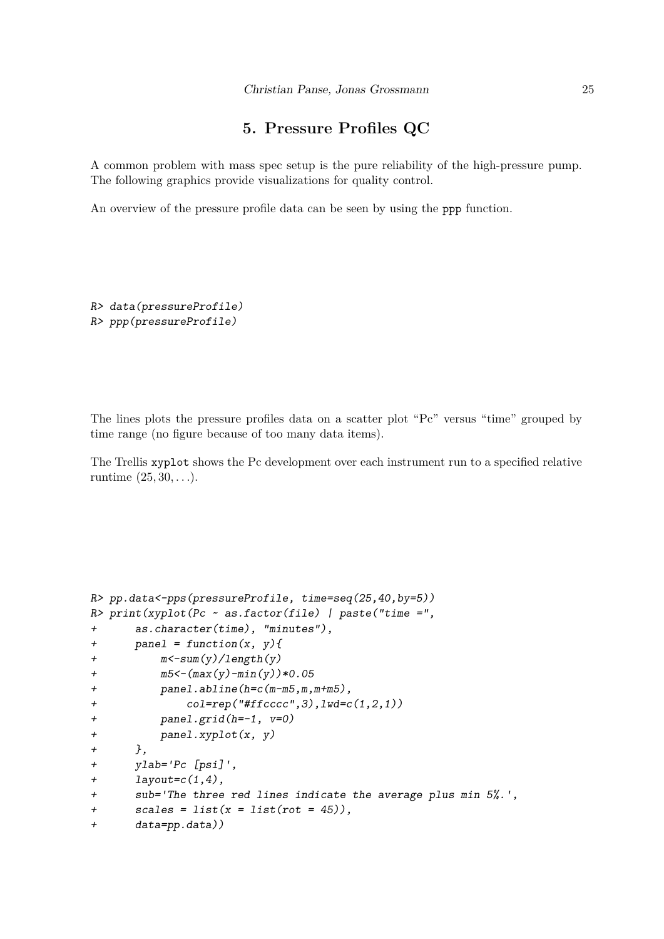# **5. Pressure Profiles QC**

A common problem with mass spec setup is the pure reliability of the high-pressure pump. The following graphics provide visualizations for quality control.

An overview of the pressure profile data can be seen by using the ppp function.

```
R> data(pressureProfile)
R> ppp(pressureProfile)
```
The lines plots the pressure profiles data on a scatter plot "Pc" versus "time" grouped by time range (no figure because of too many data items).

The Trellis xyplot shows the Pc development over each instrument run to a specified relative runtime (25*,* 30*, . . .*).

```
R> pp.data<-pps(pressureProfile, time=seq(25,40,by=5))
R> print(xyplot(Pc ~ as.factor(file) | paste("time =",
+ as.character(time), "minutes"),
+ panel = function(x, y){
+ m<-sum(y)/length(y)
+ m5<-(max(y)-min(y))*0.05
+ panel.abline(h=c(m-m5,m,m+m5),
+ col=rep("#ffcccc",3),lwd=c(1,2,1))
+ panel.grid(h=-1, v=0)
+ panel.xyplot(x, y)
+ },
+ ylab='Pc [psi]',
+ layout=c(1,4),
+ sub='The three red lines indicate the average plus min 5%.',
+ scales = list(x = list(rot = 45)),
+ data=pp.data))
```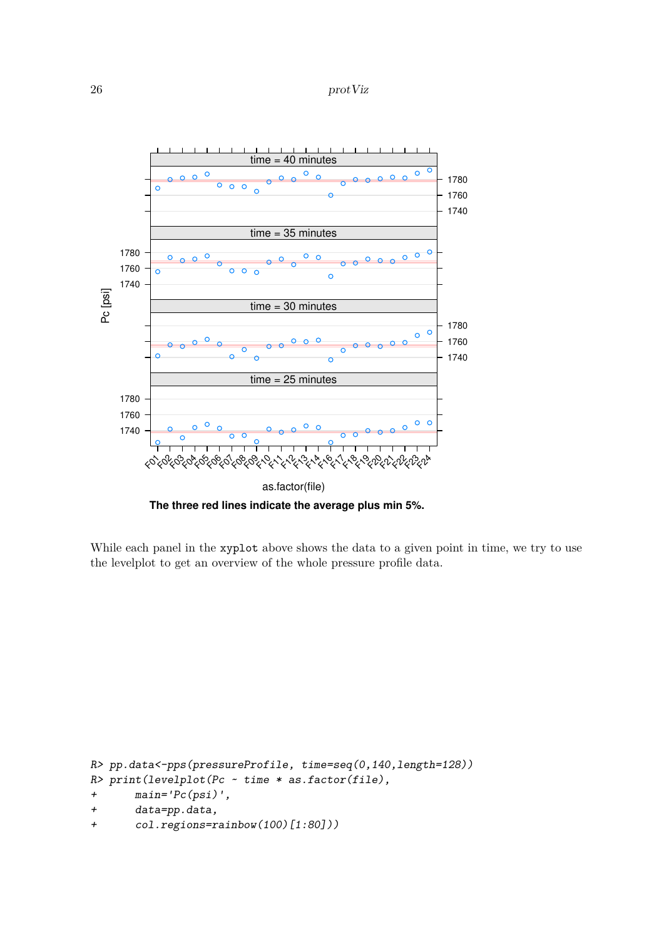26 protViz



**The three red lines indicate the average plus min 5%.**

While each panel in the xyplot above shows the data to a given point in time, we try to use the levelplot to get an overview of the whole pressure profile data.

```
R> pp.data<-pps(pressureProfile, time=seq(0,140,length=128))
R> print(levelplot(Pc ~ time * as.factor(file),
+ main='Pc(psi)',
+ data=pp.data,
+ col.regions=rainbow(100)[1:80]))
```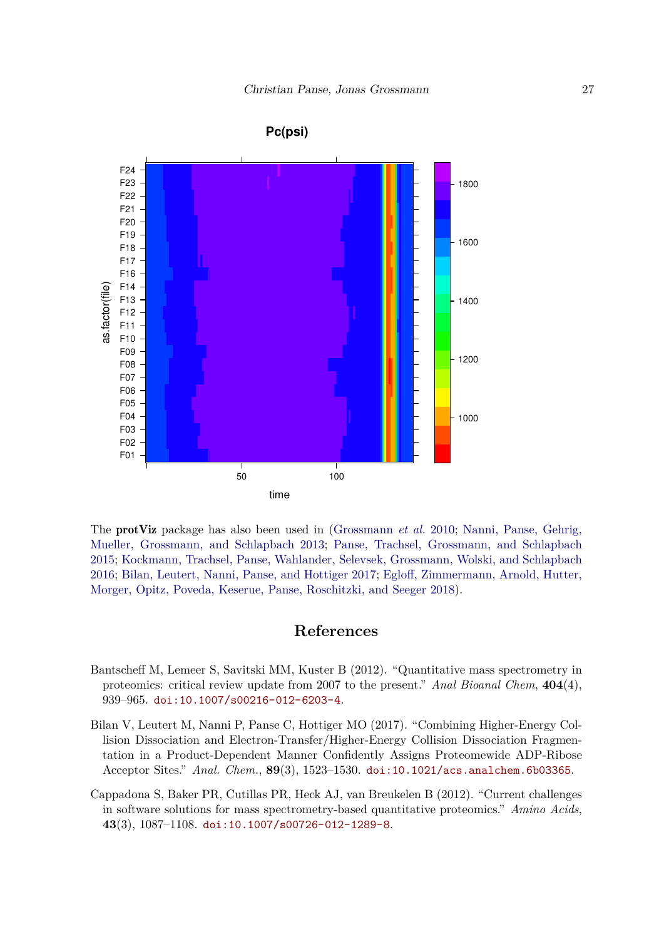

**Pc(psi)**

The protViz package has also been used in [\(Grossmann](#page-27-4) *et al.* [2010;](#page-27-4) [Nanni, Panse, Gehrig,](#page-27-5) [Mueller, Grossmann, and Schlapbach 2013;](#page-27-5) [Panse, Trachsel, Grossmann, and Schlapbach](#page-27-6) [2015;](#page-27-6) [Kockmann, Trachsel, Panse, Wahlander, Selevsek, Grossmann, Wolski, and Schlapbach](#page-27-7) [2016;](#page-27-7) [Bilan, Leutert, Nanni, Panse, and Hottiger 2017;](#page-26-2) [Egloff, Zimmermann, Arnold, Hutter,](#page-27-8) [Morger, Opitz, Poveda, Keserue, Panse, Roschitzki, and Seeger 2018\)](#page-27-8).

## **References**

- <span id="page-26-0"></span>Bantscheff M, Lemeer S, Savitski MM, Kuster B (2012). "Quantitative mass spectrometry in proteomics: critical review update from 2007 to the present." *Anal Bioanal Chem*, **404**(4), 939–965. [doi:10.1007/s00216-012-6203-4](https://doi.org/10.1007/s00216-012-6203-4).
- <span id="page-26-2"></span>Bilan V, Leutert M, Nanni P, Panse C, Hottiger MO (2017). "Combining Higher-Energy Collision Dissociation and Electron-Transfer/Higher-Energy Collision Dissociation Fragmentation in a Product-Dependent Manner Confidently Assigns Proteomewide ADP-Ribose Acceptor Sites." *Anal. Chem.*, **89**(3), 1523–1530. [doi:10.1021/acs.analchem.6b03365](https://doi.org/10.1021/acs.analchem.6b03365).
- <span id="page-26-1"></span>Cappadona S, Baker PR, Cutillas PR, Heck AJ, van Breukelen B (2012). "Current challenges in software solutions for mass spectrometry-based quantitative proteomics." *Amino Acids*, **43**(3), 1087–1108. [doi:10.1007/s00726-012-1289-8](https://doi.org/10.1007/s00726-012-1289-8).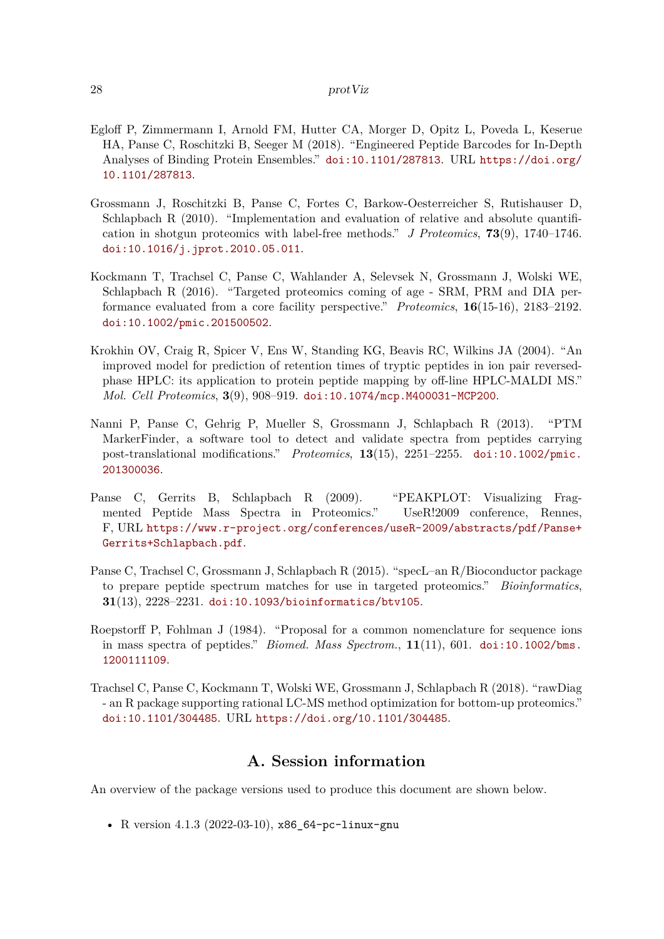#### 28 protViz

- <span id="page-27-8"></span>Egloff P, Zimmermann I, Arnold FM, Hutter CA, Morger D, Opitz L, Poveda L, Keserue HA, Panse C, Roschitzki B, Seeger M (2018). "Engineered Peptide Barcodes for In-Depth Analyses of Binding Protein Ensembles." [doi:10.1101/287813](https://doi.org/10.1101/287813). URL [https://doi.org/](https://doi.org/10.1101/287813) [10.1101/287813](https://doi.org/10.1101/287813).
- <span id="page-27-4"></span>Grossmann J, Roschitzki B, Panse C, Fortes C, Barkow-Oesterreicher S, Rutishauser D, Schlapbach R (2010). "Implementation and evaluation of relative and absolute quantification in shotgun proteomics with label-free methods." *J Proteomics*, **73**(9), 1740–1746. [doi:10.1016/j.jprot.2010.05.011](https://doi.org/10.1016/j.jprot.2010.05.011).
- <span id="page-27-7"></span>Kockmann T, Trachsel C, Panse C, Wahlander A, Selevsek N, Grossmann J, Wolski WE, Schlapbach R (2016). "Targeted proteomics coming of age - SRM, PRM and DIA performance evaluated from a core facility perspective." *Proteomics*, **16**(15-16), 2183–2192. [doi:10.1002/pmic.201500502](https://doi.org/10.1002/pmic.201500502).
- <span id="page-27-1"></span>Krokhin OV, Craig R, Spicer V, Ens W, Standing KG, Beavis RC, Wilkins JA (2004). "An improved model for prediction of retention times of tryptic peptides in ion pair reversedphase HPLC: its application to protein peptide mapping by off-line HPLC-MALDI MS." *Mol. Cell Proteomics*, **3**(9), 908–919. [doi:10.1074/mcp.M400031-MCP200](https://doi.org/10.1074/mcp.M400031-MCP200).
- <span id="page-27-5"></span>Nanni P, Panse C, Gehrig P, Mueller S, Grossmann J, Schlapbach R (2013). "PTM MarkerFinder, a software tool to detect and validate spectra from peptides carrying post-translational modifications." *Proteomics*, **13**(15), 2251–2255. [doi:10.1002/pmic.](https://doi.org/10.1002/pmic.201300036) [201300036](https://doi.org/10.1002/pmic.201300036).
- <span id="page-27-3"></span>Panse C, Gerrits B, Schlapbach R (2009). "PEAKPLOT: Visualizing Fragmented Peptide Mass Spectra in Proteomics." UseR!2009 conference, Rennes, F, URL [https://www.r-project.org/conferences/useR-2009/abstracts/pdf/Panse+](https://www.r-project.org/conferences/useR-2009/abstracts/pdf/Panse+Gerrits+Schlapbach.pdf) [Gerrits+Schlapbach.pdf](https://www.r-project.org/conferences/useR-2009/abstracts/pdf/Panse+Gerrits+Schlapbach.pdf).
- <span id="page-27-6"></span>Panse C, Trachsel C, Grossmann J, Schlapbach R (2015). "specL–an R/Bioconductor package to prepare peptide spectrum matches for use in targeted proteomics." *Bioinformatics*, **31**(13), 2228–2231. [doi:10.1093/bioinformatics/btv105](https://doi.org/10.1093/bioinformatics/btv105).
- <span id="page-27-2"></span>Roepstorff P, Fohlman J (1984). "Proposal for a common nomenclature for sequence ions in mass spectra of peptides." *Biomed. Mass Spectrom.*, **11**(11), 601. [doi:10.1002/bms.](https://doi.org/10.1002/bms.1200111109) [1200111109](https://doi.org/10.1002/bms.1200111109).
- <span id="page-27-0"></span>Trachsel C, Panse C, Kockmann T, Wolski WE, Grossmann J, Schlapbach R (2018). "rawDiag - an R package supporting rational LC-MS method optimization for bottom-up proteomics." [doi:10.1101/304485](https://doi.org/10.1101/304485). URL <https://doi.org/10.1101/304485>.

## **A. Session information**

An overview of the package versions used to produce this document are shown below.

• R version 4.1.3 (2022-03-10), x86\_64-pc-linux-gnu